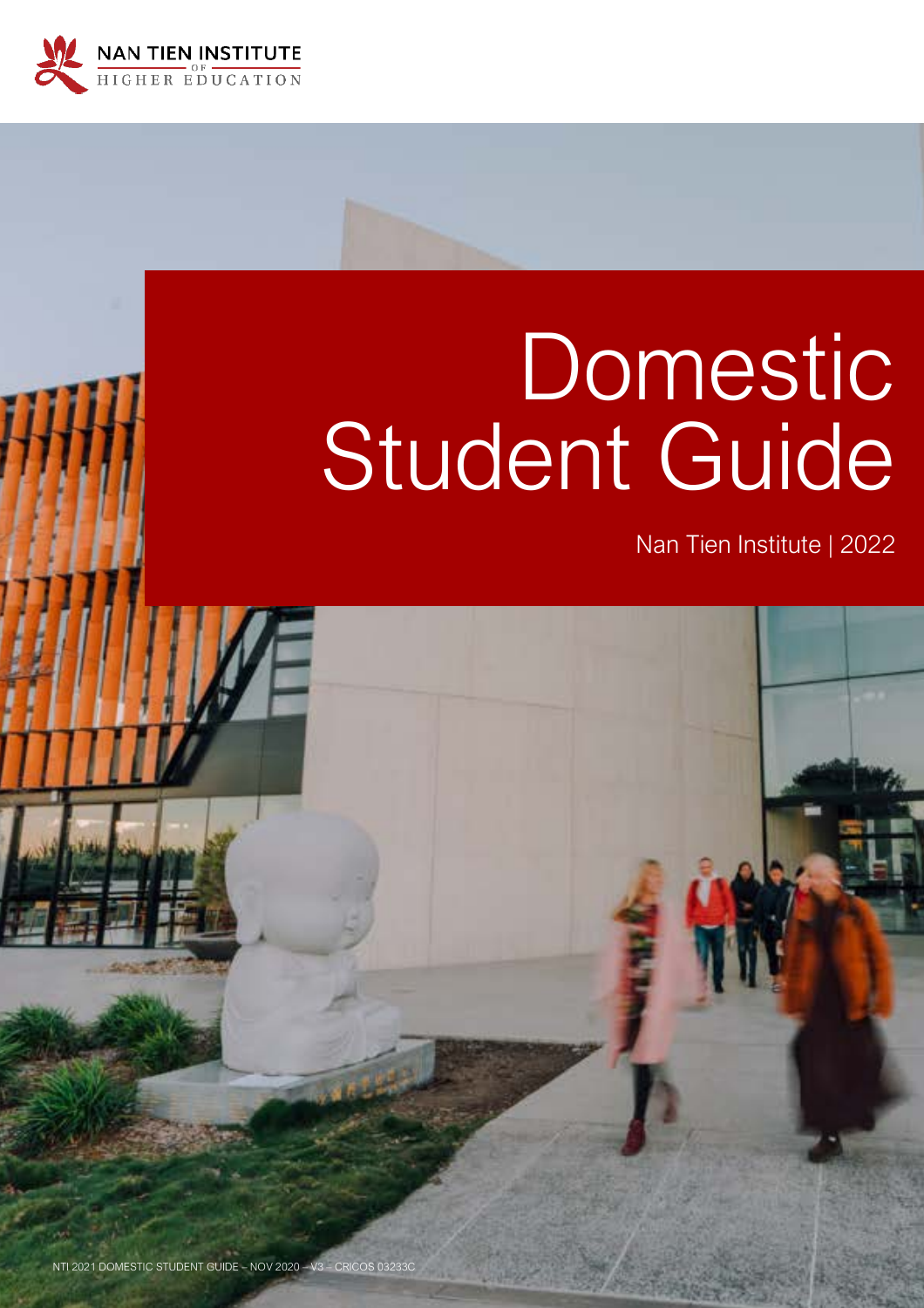

# **Domestic** Student Guide

Nan Tien Institute | 2022

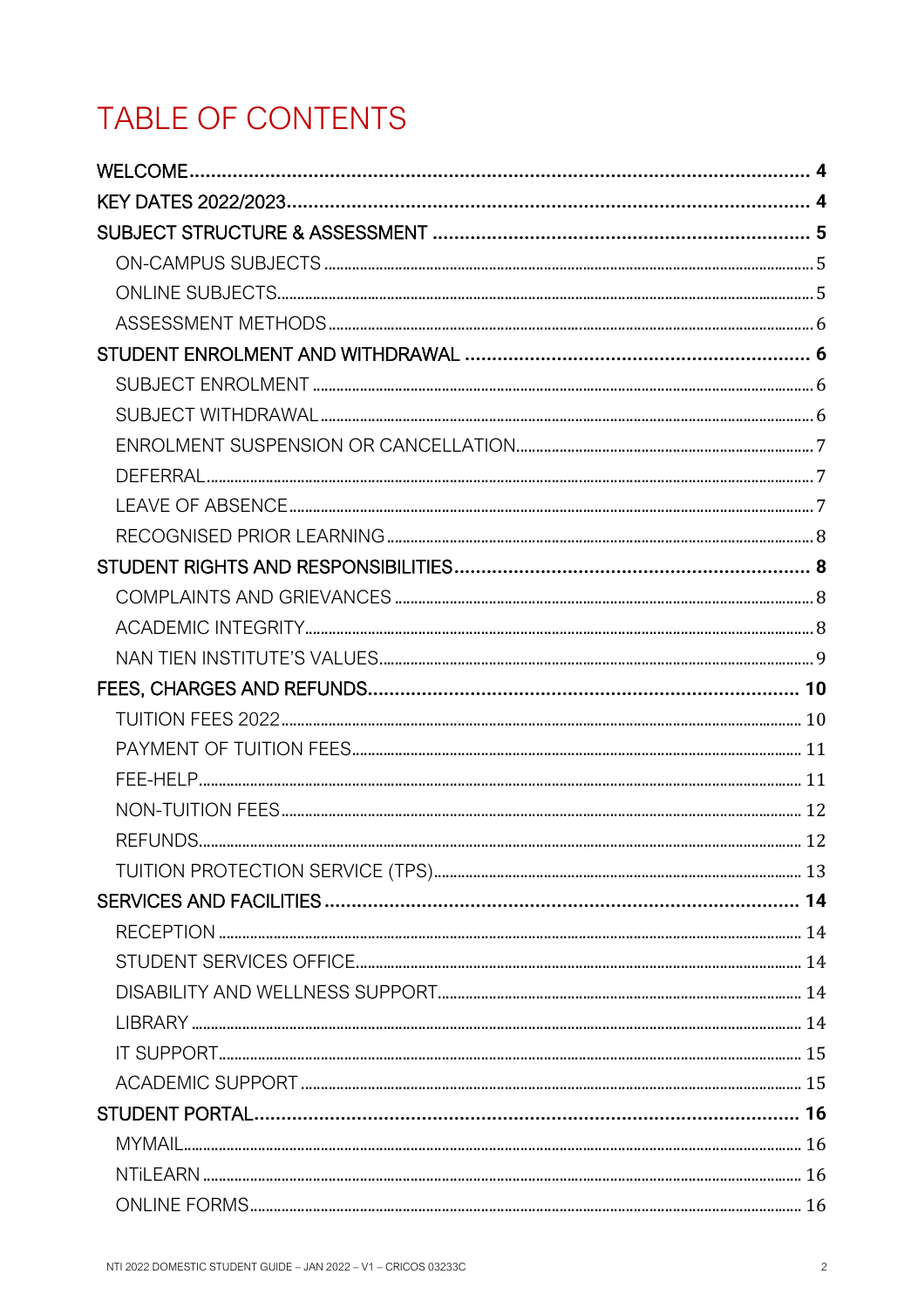# TABLE OF CONTENTS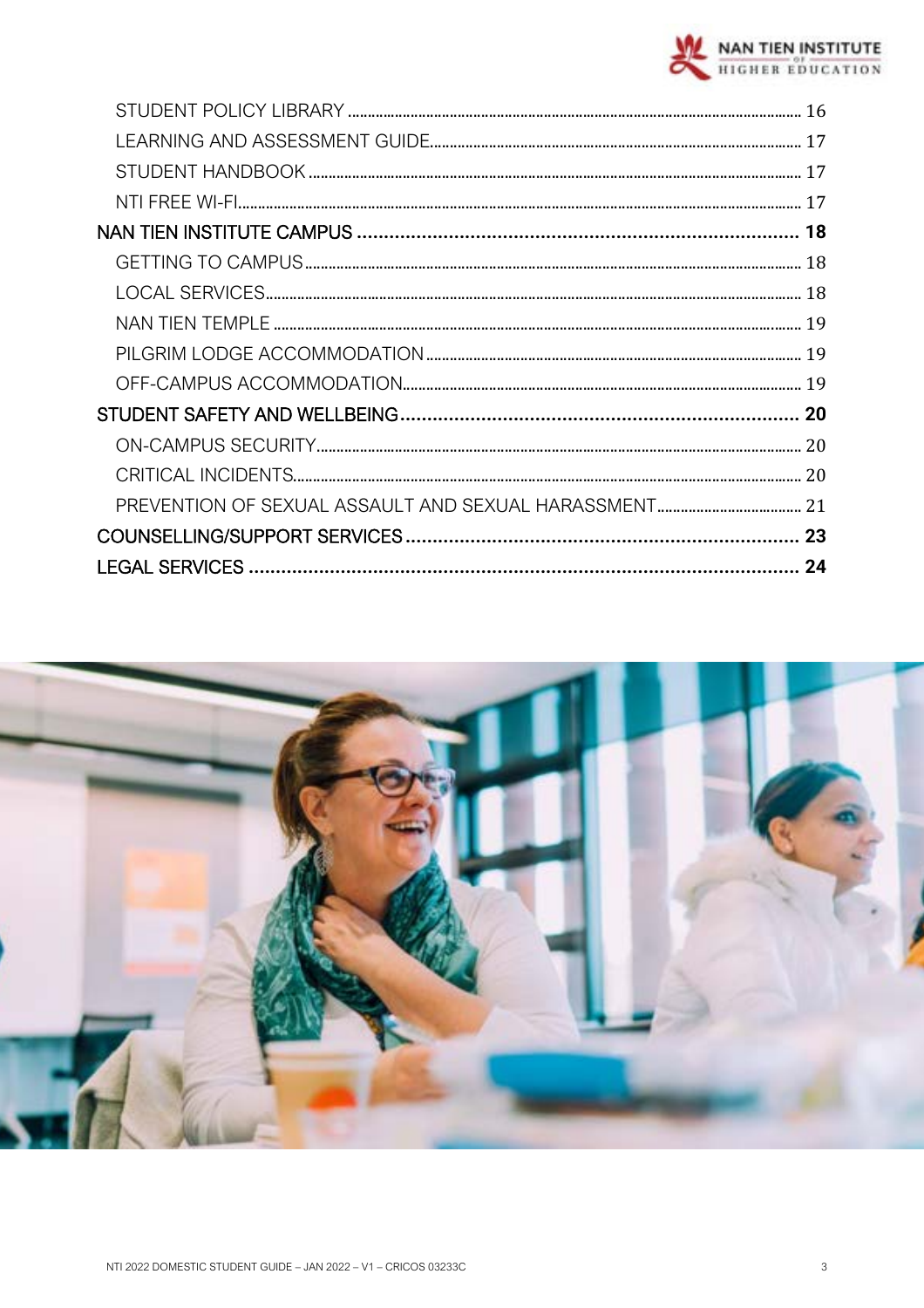

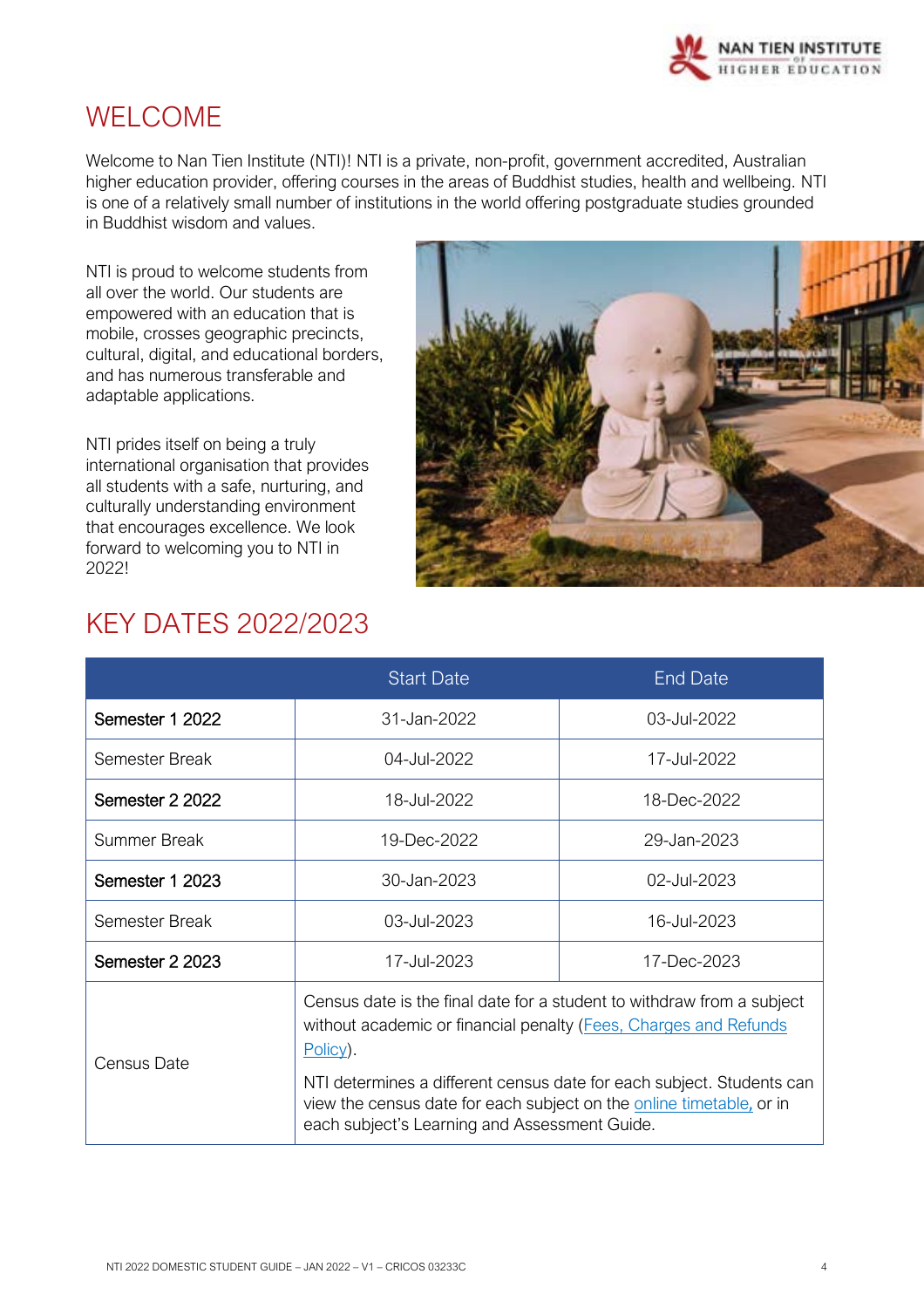

## <span id="page-3-0"></span>WELCOME

Welcome to Nan Tien Institute (NTI)! NTI is a private, non-profit, government accredited, Australian higher education provider, offering courses in the areas of Buddhist studies, health and wellbeing. NTI is one of a relatively small number of institutions in the world offering postgraduate studies grounded in Buddhist wisdom and values.

NTI is proud to welcome students from all over the world. Our students are empowered with an education that is mobile, crosses geographic precincts, cultural, digital, and educational borders, and has numerous transferable and adaptable applications.

NTI prides itself on being a truly international organisation that provides all students with a safe, nurturing, and culturally understanding environment that encourages excellence. We look forward to welcoming you to NTI in 2022!



# <span id="page-3-1"></span>KEY DATES 2022/2023

|                                               | <b>Start Date</b>                                                                                                                                                                                                                                                                                          | <b>End Date</b> |
|-----------------------------------------------|------------------------------------------------------------------------------------------------------------------------------------------------------------------------------------------------------------------------------------------------------------------------------------------------------------|-----------------|
| Semester 1 2022                               | 31-Jan-2022                                                                                                                                                                                                                                                                                                | 03-Jul-2022     |
| Semester Break                                | 04-Jul-2022                                                                                                                                                                                                                                                                                                | 17-Jul-2022     |
| Semester 2 2022                               | 18-Jul-2022                                                                                                                                                                                                                                                                                                | 18-Dec-2022     |
| Summer Break                                  | 19-Dec-2022                                                                                                                                                                                                                                                                                                | 29-Jan-2023     |
| Semester 1 2023                               | 30-Jan-2023                                                                                                                                                                                                                                                                                                | 02-Jul-2023     |
| Semester Break                                | 03-Jul-2023<br>16-Jul-2023                                                                                                                                                                                                                                                                                 |                 |
| Semester 2 2023                               | 17-Jul-2023<br>17-Dec-2023                                                                                                                                                                                                                                                                                 |                 |
| Census Date                                   | Census date is the final date for a student to withdraw from a subject<br>without academic or financial penalty (Fees, Charges and Refunds<br>$Policy)$ .<br>NTI determines a different census date for each subject. Students can<br>view the census date for each subject on the online timetable, or in |                 |
| each subject's Learning and Assessment Guide. |                                                                                                                                                                                                                                                                                                            |                 |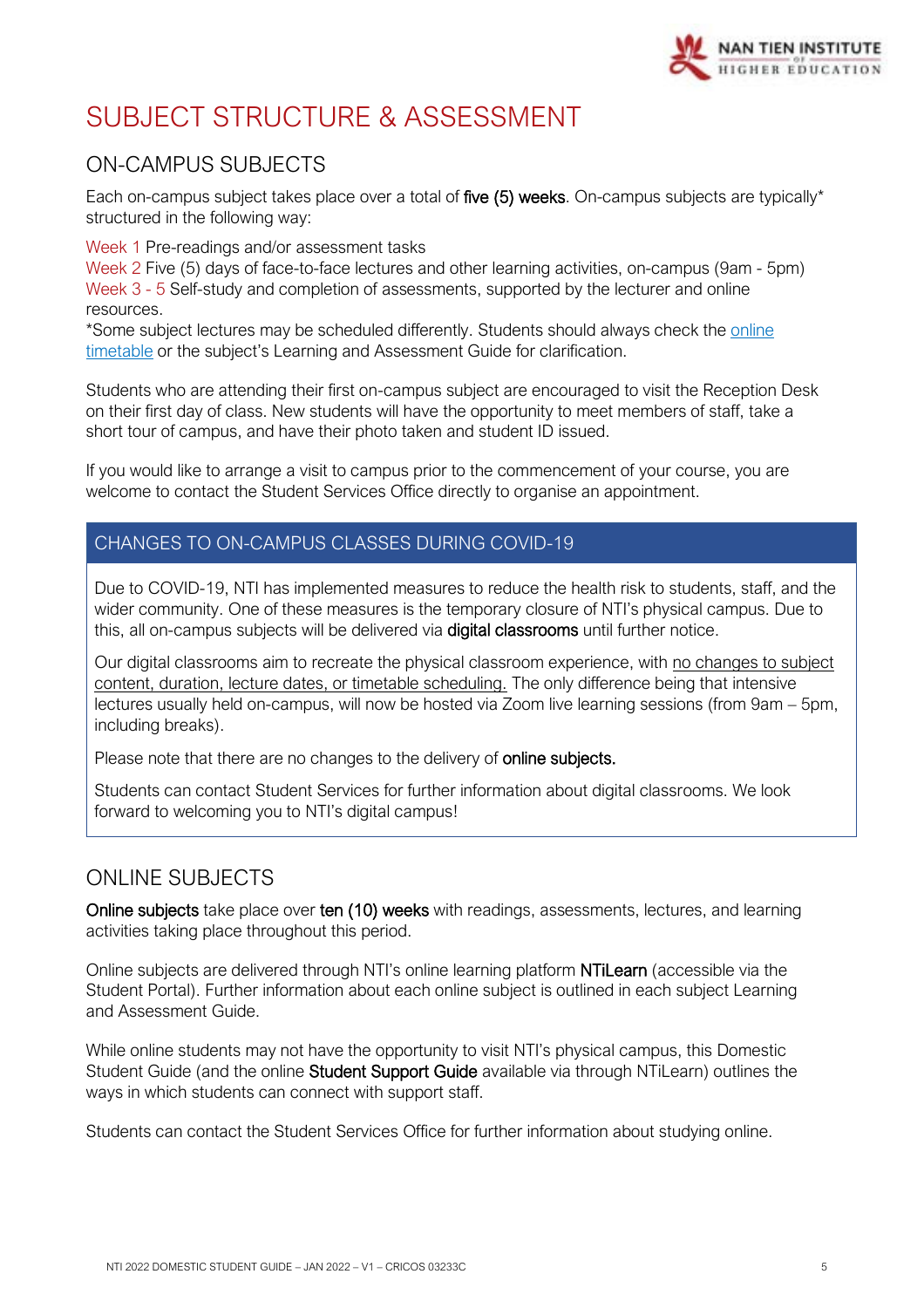

# <span id="page-4-0"></span>SUBJECT STRUCTURE & ASSESSMENT

## <span id="page-4-1"></span>ON-CAMPUS SUBJECTS

Each on-campus subject takes place over a total of five (5) weeks. On-campus subjects are typically\* structured in the following way:

Week 1 Pre-readings and/or assessment tasks

Week 2 Five (5) days of face-to-face lectures and other learning activities, on-campus (9am - 5pm) Week 3 - 5 Self-study and completion of assessments, supported by the lecturer and online resources.

\*Some subject lectures may be scheduled differently. Students should always check the [online](https://www.nantien.edu.au/courses/timetable/)  [timetable](https://www.nantien.edu.au/courses/timetable/) or the subject's Learning and Assessment Guide for clarification.

Students who are attending their first on-campus subject are encouraged to visit the Reception Desk on their first day of class. New students will have the opportunity to meet members of staff, take a short tour of campus, and have their photo taken and student ID issued.

If you would like to arrange a visit to campus prior to the commencement of your course, you are welcome to contact the Student Services Office directly to organise an appointment.

## CHANGES TO ON-CAMPUS CLASSES DURING COVID-19

Due to COVID-19, NTI has implemented measures to reduce the health risk to students, staff, and the wider community. One of these measures is the temporary closure of NTI's physical campus. Due to this, all on-campus subjects will be delivered via digital classrooms until further notice.

Our digital classrooms aim to recreate the physical classroom experience, with no changes to subject content, duration, lecture dates, or timetable scheduling. The only difference being that intensive lectures usually held on-campus, will now be hosted via Zoom live learning sessions (from 9am – 5pm, including breaks).

Please note that there are no changes to the delivery of **online subjects.** 

Students can contact Student Services for further information about digital classrooms. We look forward to welcoming you to NTI's digital campus!

## <span id="page-4-2"></span>ONLINE SUBJECTS

Online subjects take place over ten (10) weeks with readings, assessments, lectures, and learning activities taking place throughout this period.

Online subjects are delivered through NTI's online learning platform NTiLearn (accessible via the Student Portal). Further information about each online subject is outlined in each subject Learning and Assessment Guide.

While online students may not have the opportunity to visit NTI's physical campus, this Domestic Student Guide (and the online Student Support Guide available via through NTiLearn) outlines the ways in which students can connect with support staff.

Students can contact the Student Services Office for further information about studying online.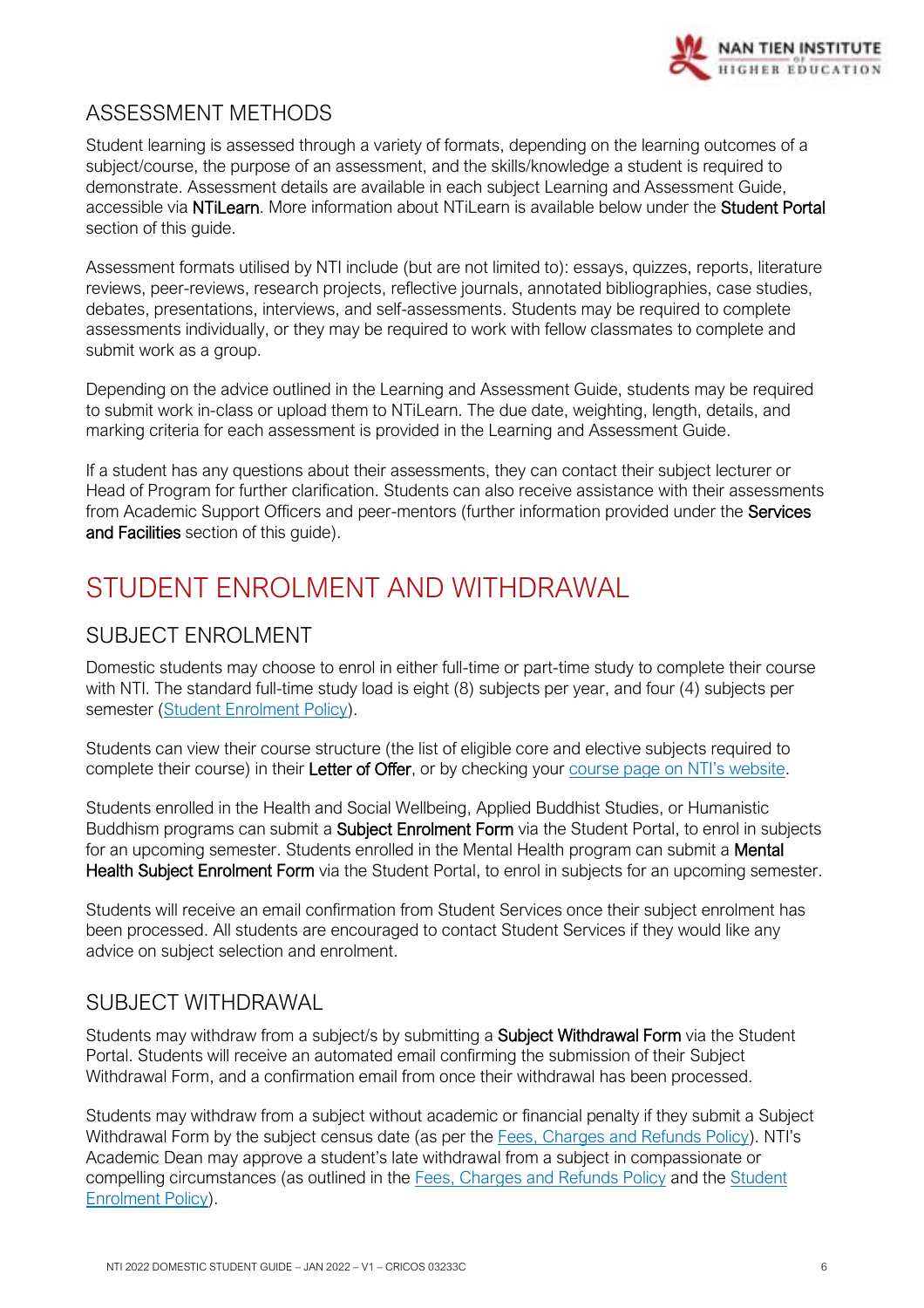

## <span id="page-5-0"></span>ASSESSMENT METHODS

Student learning is assessed through a variety of formats, depending on the learning outcomes of a subject/course, the purpose of an assessment, and the skills/knowledge a student is required to demonstrate. Assessment details are available in each subject Learning and Assessment Guide, accessible via NTiLearn. More information about NTiLearn is available below under the Student Portal section of this quide.

Assessment formats utilised by NTI include (but are not limited to): essays, quizzes, reports, literature reviews, peer-reviews, research projects, reflective journals, annotated bibliographies, case studies, debates, presentations, interviews, and self-assessments. Students may be required to complete assessments individually, or they may be required to work with fellow classmates to complete and submit work as a group.

Depending on the advice outlined in the Learning and Assessment Guide, students may be required to submit work in-class or upload them to NTiLearn. The due date, weighting, length, details, and marking criteria for each assessment is provided in the Learning and Assessment Guide.

If a student has any questions about their assessments, they can contact their subject lecturer or Head of Program for further clarification. Students can also receive assistance with their assessments from Academic Support Officers and peer-mentors (further information provided under the Services and Facilities section of this quide).

# <span id="page-5-1"></span>STUDENT ENROLMENT AND WITHDRAWAL

## <span id="page-5-2"></span>SUBJECT ENROLMENT

Domestic students may choose to enrol in either full-time or part-time study to complete their course with NTI. The standard full-time study load is eight (8) subjects per year, and four (4) subjects per semester [\(Student Enrolment Policy\)](https://policy.nantien.edu.au/student-services/student-enrolment-policy).

Students can view their course structure (the list of eligible core and elective subjects required to complete their course) in their Letter of Offer, or by checking your [course page on NTI's website](https://www.nantien.edu.au/courses/).

Students enrolled in the Health and Social Wellbeing, Applied Buddhist Studies, or Humanistic Buddhism programs can submit a Subject Enrolment Form via the Student Portal, to enrol in subjects for an upcoming semester. Students enrolled in the Mental Health program can submit a **Mental** Health Subject Enrolment Form via the Student Portal, to enrol in subjects for an upcoming semester.

Students will receive an email confirmation from Student Services once their subject enrolment has been processed. All students are encouraged to contact Student Services if they would like any advice on subject selection and enrolment.

## <span id="page-5-3"></span>SUBJECT WITHDRAWAL

Students may withdraw from a subject/s by submitting a **Subject Withdrawal Form** via the Student Portal. Students will receive an automated email confirming the submission of their Subject Withdrawal Form, and a confirmation email from once their withdrawal has been processed.

Students may withdraw from a subject without academic or financial penalty if they submit a Subject Withdrawal Form by the subject census date (as per the [Fees, Charges and Refunds Policy\)](https://policy.nantien.edu.au/student-services/fees-charges-and-refunds-policy). NTI's Academic Dean may approve a student's late withdrawal from a subject in compassionate or compelling circumstances (as outlined in the [Fees, Charges and Refunds Policy](https://policy.nantien.edu.au/student-services/fees-charges-and-refunds-policy) and the Student [Enrolment Policy\)](https://policy.nantien.edu.au/student-services/student-enrolment-policy).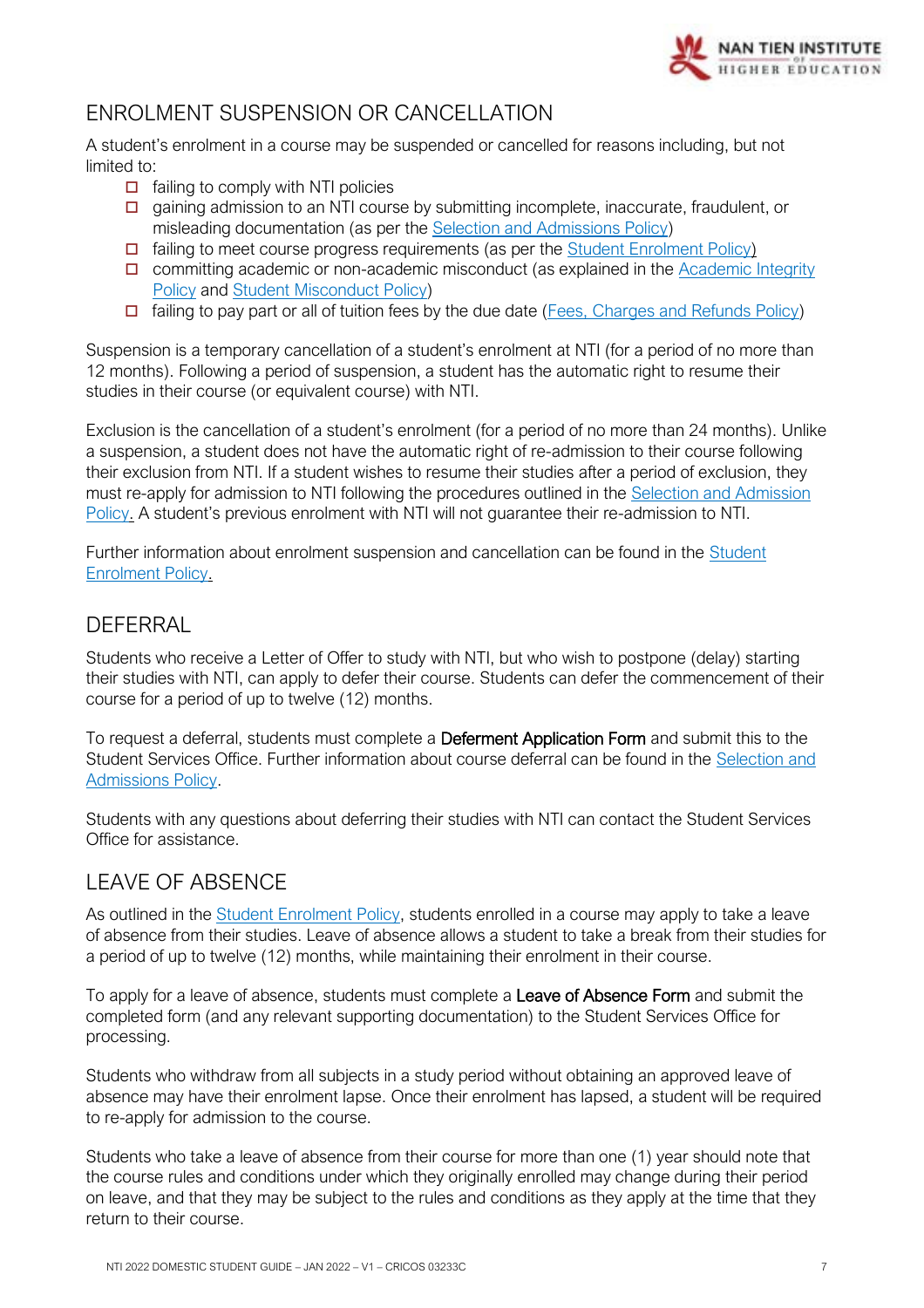

## <span id="page-6-0"></span>ENROLMENT SUSPENSION OR CANCELLATION

A student's enrolment in a course may be suspended or cancelled for reasons including, but not limited to:

- $\Box$  failing to comply with NTI policies
- $\square$  gaining admission to an NTI course by submitting incomplete, inaccurate, fraudulent, or misleading documentation (as per the [Selection and Admissions Policy\)](https://policy.nantien.edu.au/student-services/selection-and-admission-policy)
- $\Box$  failing to meet course progress requirements (as per the [Student Enrolment Policy\)](https://policy.nantien.edu.au/student-services/student-enrolment-policy)
- $\Box$  committing academic or non-academic misconduct (as explained in the Academic Integrity [Policy](https://policy.nantien.edu.au/student-services/academic-integrity-policy) an[d Student Misconduct Policy\)](https://policy.nantien.edu.au/student-services/student-misconduct-policy)
- $\Box$  failing to pay part or all of tuition fees by the due date [\(Fees, Charges and Refunds Policy\)](https://policy.nantien.edu.au/student-services/fees-charges-and-refunds-policy)

Suspension is a temporary cancellation of a student's enrolment at NTI (for a period of no more than 12 months). Following a period of suspension, a student has the automatic right to resume their studies in their course (or equivalent course) with NTI.

Exclusion is the cancellation of a student's enrolment (for a period of no more than 24 months). Unlike a suspension, a student does not have the automatic right of re-admission to their course following their exclusion from NTI. If a student wishes to resume their studies after a period of exclusion, they must re-apply for admission to NTI following the procedures outlined in the [Selection and Admission](https://policy.nantien.edu.au/student-services/selection-and-admission-policy)  [Policy.](https://policy.nantien.edu.au/student-services/selection-and-admission-policy) A student's previous enrolment with NTI will not guarantee their re-admission to NTI.

Further information about enrolment suspension and cancellation can be found in the [Student](https://policy.nantien.edu.au/student-services/student-enrolment-policy)  [Enrolment Policy.](https://policy.nantien.edu.au/student-services/student-enrolment-policy)

#### <span id="page-6-1"></span>**DEFFRRAL**

Students who receive a Letter of Offer to study with NTI, but who wish to postpone (delay) starting their studies with NTI, can apply to defer their course. Students can defer the commencement of their course for a period of up to twelve (12) months.

To request a deferral, students must complete a Deferment Application Form and submit this to the Student Services Office. Further information about course deferral can be found in the [Selection and](https://policy.nantien.edu.au/student-services/selection-and-admission-policy)  [Admissions Policy.](https://policy.nantien.edu.au/student-services/selection-and-admission-policy)

Students with any questions about deferring their studies with NTI can contact the Student Services Office for assistance.

## <span id="page-6-2"></span>LEAVE OF ABSENCE

As outlined in the [Student Enrolment Policy,](https://policy.nantien.edu.au/student-services/student-enrolment-policy) students enrolled in a course may apply to take a leave of absence from their studies. Leave of absence allows a student to take a break from their studies for a period of up to twelve (12) months, while maintaining their enrolment in their course.

To apply for a leave of absence, students must complete a Leave of Absence Form and submit the completed form (and any relevant supporting documentation) to the Student Services Office for processing.

Students who withdraw from all subjects in a study period without obtaining an approved leave of absence may have their enrolment lapse. Once their enrolment has lapsed, a student will be required to re-apply for admission to the course.

Students who take a leave of absence from their course for more than one (1) year should note that the course rules and conditions under which they originally enrolled may change during their period on leave, and that they may be subject to the rules and conditions as they apply at the time that they return to their course.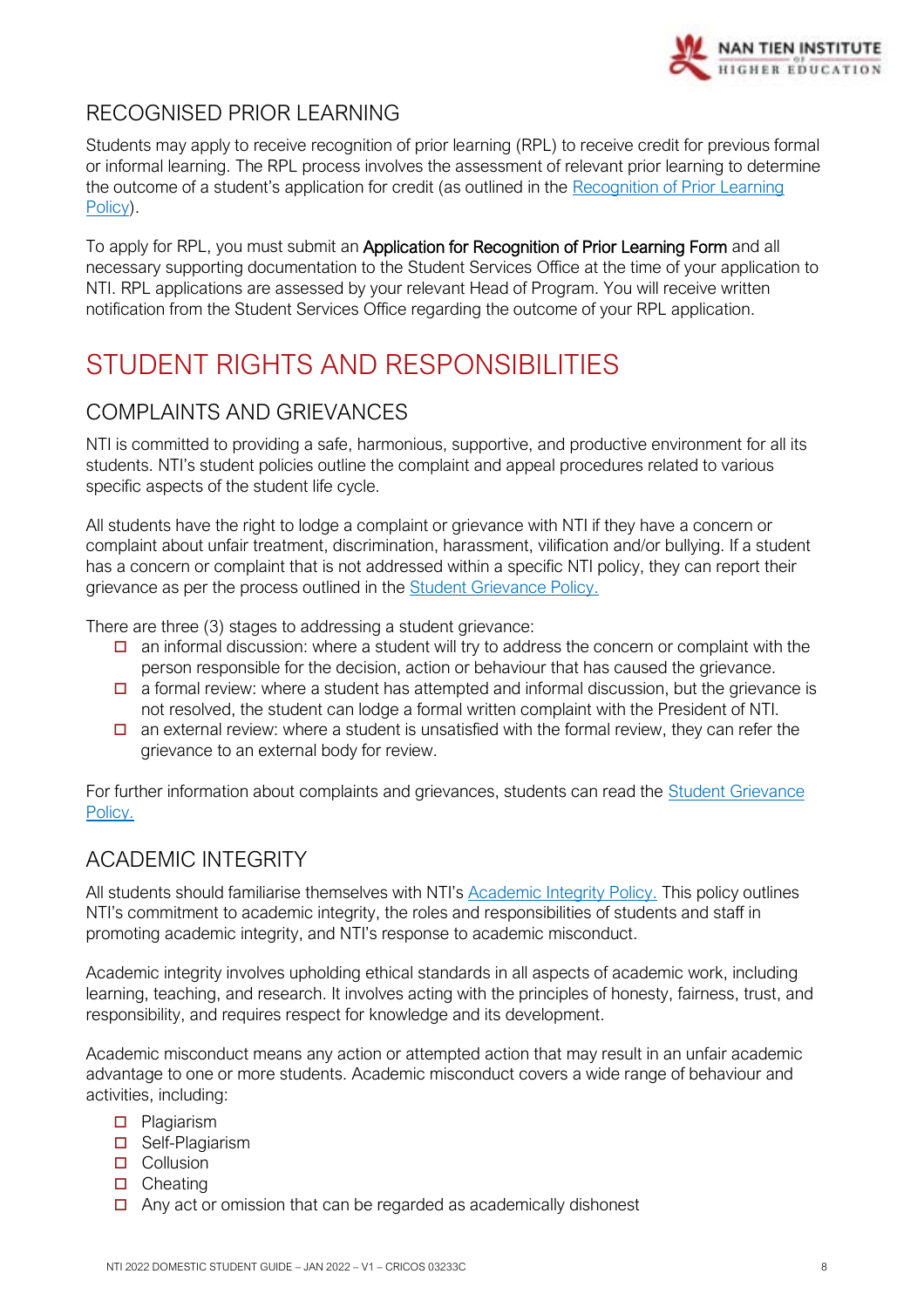

## <span id="page-7-0"></span>RECOGNISED PRIOR LEARNING

Students may apply to receive recognition of prior learning (RPL) to receive credit for previous formal or informal learning. The RPL process involves the assessment of relevant prior learning to determine the outcome of a student's application for credit (as outlined in the [Recognition of Prior Learning](https://policy.nantien.edu.au/student-services/recognition-prior-learning-rpl-policy)  [Policy\)](https://policy.nantien.edu.au/student-services/recognition-prior-learning-rpl-policy).

To apply for RPL, you must submit an **Application for Recognition of Prior Learning Form** and all necessary supporting documentation to the Student Services Office at the time of your application to NTI. RPL applications are assessed by your relevant Head of Program. You will receive written notification from the Student Services Office regarding the outcome of your RPL application.

# <span id="page-7-1"></span>STUDENT RIGHTS AND RESPONSIBILITIES

## <span id="page-7-2"></span>COMPLAINTS AND GRIEVANCES

NTI is committed to providing a safe, harmonious, supportive, and productive environment for all its students. NTI's student policies outline the complaint and appeal procedures related to various specific aspects of the student life cycle.

All students have the right to lodge a complaint or grievance with NTI if they have a concern or complaint about unfair treatment, discrimination, harassment, vilification and/or bullying. If a student has a concern or complaint that is not addressed within a specific NTI policy, they can report their grievance as per the process outlined in the [Student Grievance Policy.](https://policy.nantien.edu.au/student-services/student-grievance-policy)

There are three (3) stages to addressing a student grievance:

- $\Box$  an informal discussion: where a student will try to address the concern or complaint with the person responsible for the decision, action or behaviour that has caused the grievance.
- $\Box$  a formal review: where a student has attempted and informal discussion, but the grievance is not resolved, the student can lodge a formal written complaint with the President of NTI.
- $\Box$  an external review: where a student is unsatisfied with the formal review, they can refer the grievance to an external body for review.

For further information about complaints and grievances, students can read the [Student Grievance](https://policy.nantien.edu.au/student-services/student-grievance-policy)  [Policy.](https://policy.nantien.edu.au/student-services/student-grievance-policy)

## <span id="page-7-3"></span>ACADEMIC INTEGRITY

All students should familiarise themselves with NTI's [Academic Integrity Policy.](https://policy.nantien.edu.au/student-services/academic-integrity-policy) This policy outlines NTI's commitment to academic integrity, the roles and responsibilities of students and staff in promoting academic integrity, and NTI's response to academic misconduct.

Academic integrity involves upholding ethical standards in all aspects of academic work, including learning, teaching, and research. It involves acting with the principles of honesty, fairness, trust, and responsibility, and requires respect for knowledge and its development.

Academic misconduct means any action or attempted action that may result in an unfair academic advantage to one or more students. Academic misconduct covers a wide range of behaviour and activities, including:

- **D** Plagiarism
- □ Self-Plagiarism
- **D** Collusion
- $\Box$  Cheating
- $\Box$  Any act or omission that can be regarded as academically dishonest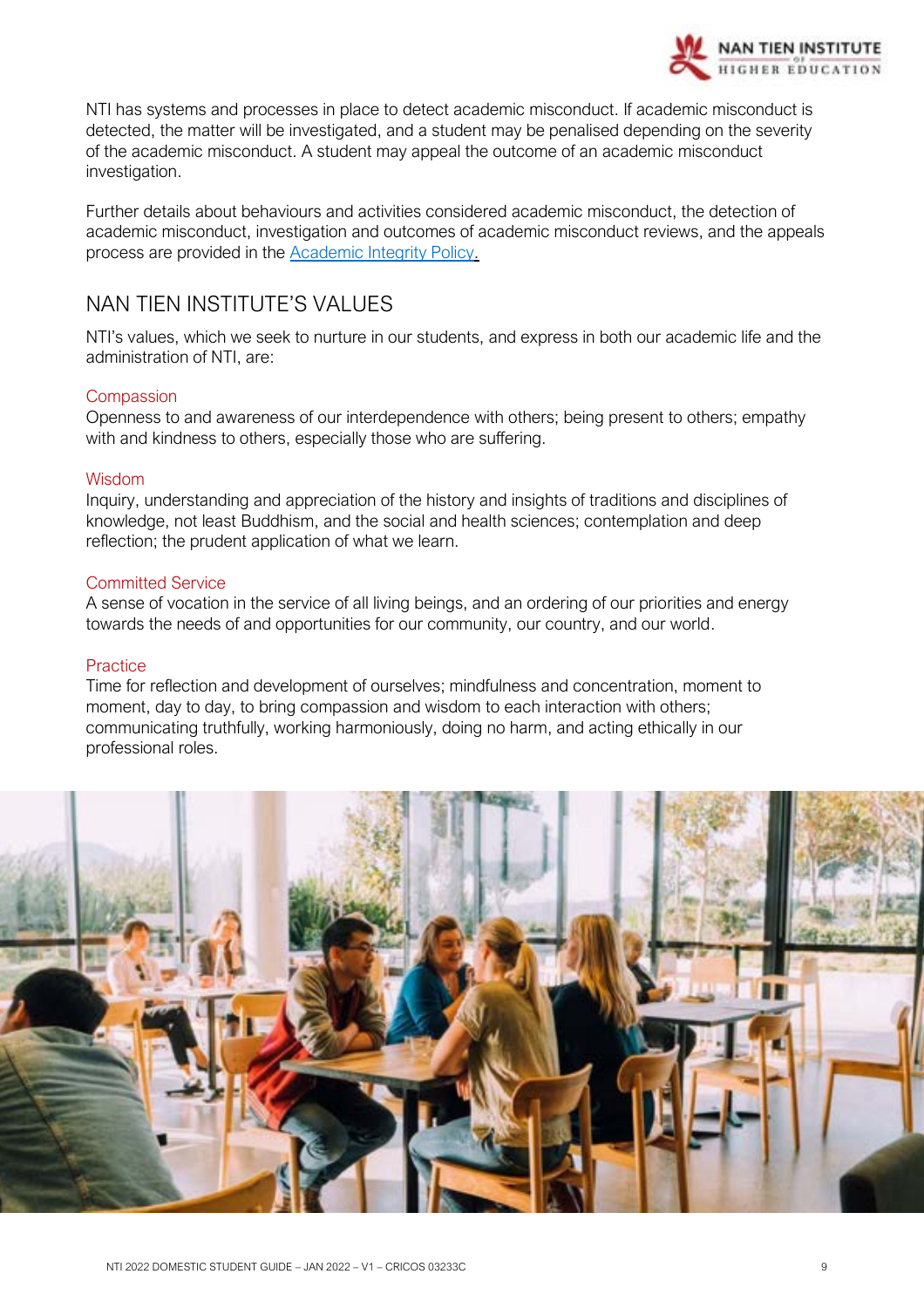

NTI has systems and processes in place to detect academic misconduct. If academic misconduct is detected, the matter will be investigated, and a student may be penalised depending on the severity of the academic misconduct. A student may appeal the outcome of an academic misconduct investigation.

Further details about behaviours and activities considered academic misconduct, the detection of academic misconduct, investigation and outcomes of academic misconduct reviews, and the appeals process are provided in the [Academic Integrity Policy.](https://policy.nantien.edu.au/student-services/academic-integrity-policy)

## <span id="page-8-0"></span>NAN TIEN INSTITUTE'S VALUES

NTI's values, which we seek to nurture in our students, and express in both our academic life and the administration of NTI, are:

#### **Compassion**

Openness to and awareness of our interdependence with others; being present to others; empathy with and kindness to others, especially those who are suffering.

#### Wisdom

Inquiry, understanding and appreciation of the history and insights of traditions and disciplines of knowledge, not least Buddhism, and the social and health sciences; contemplation and deep reflection; the prudent application of what we learn.

#### Committed Service

A sense of vocation in the service of all living beings, and an ordering of our priorities and energy towards the needs of and opportunities for our community, our country, and our world.

#### **Practice**

Time for reflection and development of ourselves; mindfulness and concentration, moment to moment, day to day, to bring compassion and wisdom to each interaction with others; communicating truthfully, working harmoniously, doing no harm, and acting ethically in our professional roles.

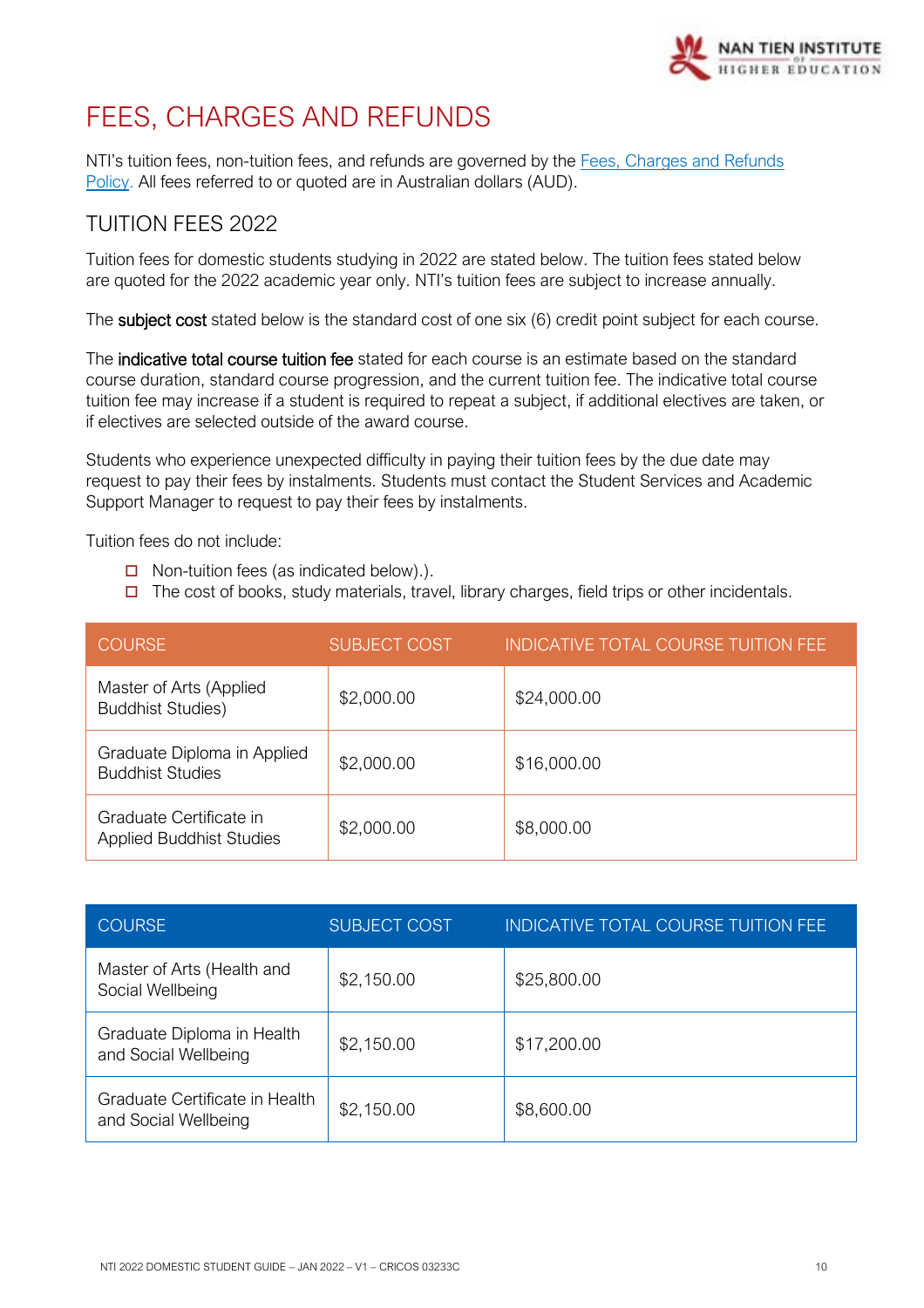

# <span id="page-9-0"></span>FEES, CHARGES AND REFUNDS

NTI's tuition fees, non-tuition fees, and refunds are governed by the [Fees, Charges and Refunds](https://policy.nantien.edu.au/student-services/fees-charges-and-refunds-policy)  [Policy.](https://policy.nantien.edu.au/student-services/fees-charges-and-refunds-policy) All fees referred to or quoted are in Australian dollars (AUD).

## <span id="page-9-1"></span>TUITION FEES 2022

Tuition fees for domestic students studying in 2022 are stated below. The tuition fees stated below are quoted for the 2022 academic year only. NTI's tuition fees are subject to increase annually.

The subject cost stated below is the standard cost of one six (6) credit point subject for each course.

The indicative total course tuition fee stated for each course is an estimate based on the standard course duration, standard course progression, and the current tuition fee. The indicative total course tuition fee may increase if a student is required to repeat a subject, if additional electives are taken, or if electives are selected outside of the award course.

Students who experience unexpected difficulty in paying their tuition fees by the due date may request to pay their fees by instalments. Students must contact the Student Services and Academic Support Manager to request to pay their fees by instalments.

Tuition fees do not include:

- $\Box$  Non-tuition fees (as indicated below).).
- $\Box$  The cost of books, study materials, travel, library charges, field trips or other incidentals.

| <b>COURSE</b>                                              | <b>SUBJECT COST</b> | <b>INDICATIVE TOTAL COURSE TUITION FEE</b> |
|------------------------------------------------------------|---------------------|--------------------------------------------|
| Master of Arts (Applied<br><b>Buddhist Studies)</b>        | \$2,000.00          | \$24,000.00                                |
| Graduate Diploma in Applied<br><b>Buddhist Studies</b>     | \$2,000.00          | \$16,000.00                                |
| Graduate Certificate in<br><b>Applied Buddhist Studies</b> | \$2,000.00          | \$8,000.00                                 |

| <b>COURSE</b>                                          | <b>SUBJECT COST</b> | <b>INDICATIVE TOTAL COURSE TUITION FEE</b> |
|--------------------------------------------------------|---------------------|--------------------------------------------|
| Master of Arts (Health and<br>Social Wellbeing         | \$2,150.00          | \$25,800.00                                |
| Graduate Diploma in Health<br>and Social Wellbeing     | \$2,150.00          | \$17,200.00                                |
| Graduate Certificate in Health<br>and Social Wellbeing | \$2,150.00          | \$8,600.00                                 |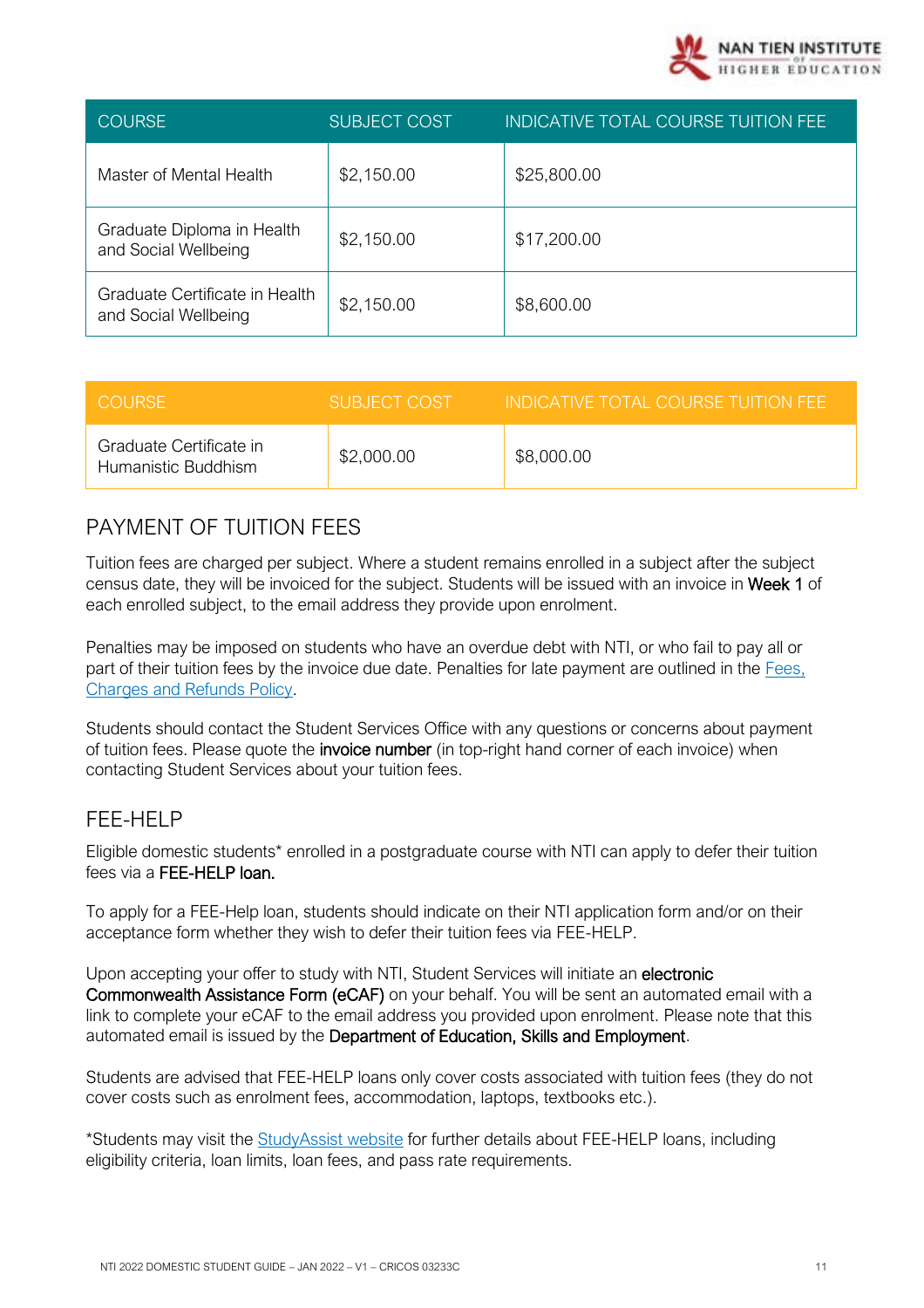

| <b>COURSE</b>                                          | <b>SUBJECT COST</b> | INDICATIVE TOTAL COURSE TUITION FEE |
|--------------------------------------------------------|---------------------|-------------------------------------|
| Master of Mental Health                                | \$2,150.00          | \$25,800.00                         |
| Graduate Diploma in Health<br>and Social Wellbeing     | \$2,150.00          | \$17,200.00                         |
| Graduate Certificate in Health<br>and Social Wellbeing | \$2,150.00          | \$8,600.00                          |

| <b>COURSE</b>                                  | SUBJECT COST | INDICATIVE TOTAL COURSE TUITION FEE |
|------------------------------------------------|--------------|-------------------------------------|
| Graduate Certificate in<br>Humanistic Buddhism | \$2,000.00   | \$8,000.00                          |

## <span id="page-10-0"></span>PAYMENT OF TUITION FEES

Tuition fees are charged per subject. Where a student remains enrolled in a subject after the subject census date, they will be invoiced for the subject. Students will be issued with an invoice in Week 1 of each enrolled subject, to the email address they provide upon enrolment.

Penalties may be imposed on students who have an overdue debt with NTI, or who fail to pay all or part of their tuition fees by the invoice due date. Penalties for late payment are outlined in the Fees, [Charges and Refunds Policy.](https://policy.nantien.edu.au/student-services/fees-charges-and-refunds-policy)

Students should contact the Student Services Office with any questions or concerns about payment of tuition fees. Please quote the invoice number (in top-right hand corner of each invoice) when contacting Student Services about your tuition fees.

## <span id="page-10-1"></span>FEE-HELP

Eligible domestic students\* enrolled in a postgraduate course with NTI can apply to defer their tuition fees via a FEE-HELP loan.

To apply for a FEE-Help loan, students should indicate on their NTI application form and/or on their acceptance form whether they wish to defer their tuition fees via FEE-HELP.

Upon accepting your offer to study with NTI, Student Services will initiate an electronic Commonwealth Assistance Form (eCAF) on your behalf. You will be sent an automated email with a link to complete your eCAF to the email address you provided upon enrolment. Please note that this automated email is issued by the Department of Education, Skills and Employment.

Students are advised that FEE-HELP loans only cover costs associated with tuition fees (they do not cover costs such as enrolment fees, accommodation, laptops, textbooks etc.).

\*Students may visit the **StudyAssist website** for further details about FEE-HELP loans, including eligibility criteria, loan limits, loan fees, and pass rate requirements.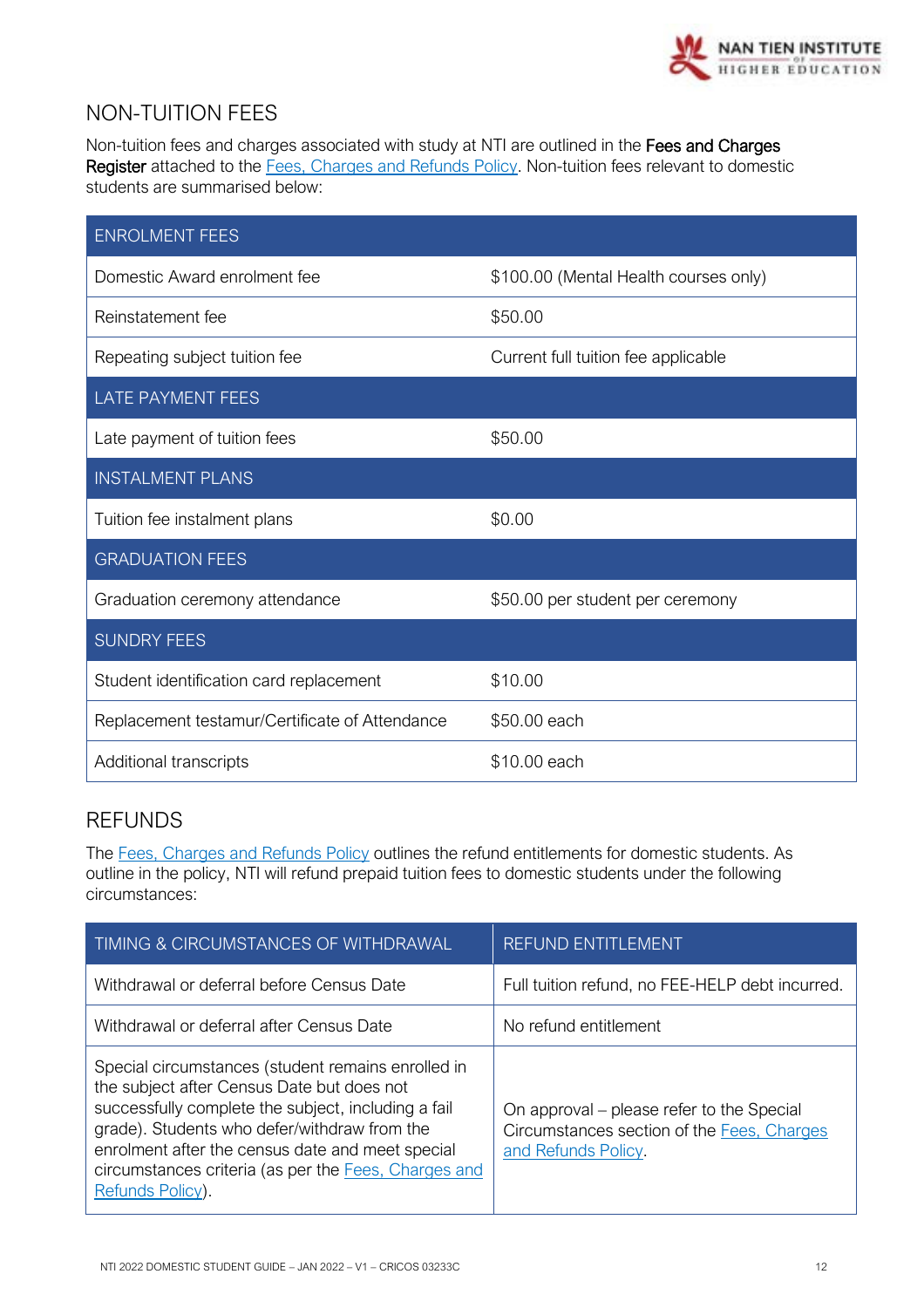

## <span id="page-11-0"></span>NON-TUITION FEES

Non-tuition fees and charges associated with study at NTI are outlined in the Fees and Charges Register attached to the [Fees, Charges and Refunds Policy.](https://policy.nantien.edu.au/student-services/fees-charges-and-refunds-policy) Non-tuition fees relevant to domestic students are summarised below:

| <b>ENROLMENT FEES</b>                          |                                       |
|------------------------------------------------|---------------------------------------|
| Domestic Award enrolment fee                   | \$100.00 (Mental Health courses only) |
| Reinstatement fee                              | \$50.00                               |
| Repeating subject tuition fee                  | Current full tuition fee applicable   |
| <b>LATE PAYMENT FEES</b>                       |                                       |
| Late payment of tuition fees                   | \$50.00                               |
| <b>INSTALMENT PLANS</b>                        |                                       |
| Tuition fee instalment plans                   | \$0.00                                |
| <b>GRADUATION FEES</b>                         |                                       |
| Graduation ceremony attendance                 | \$50.00 per student per ceremony      |
| <b>SUNDRY FEES</b>                             |                                       |
| Student identification card replacement        | \$10.00                               |
| Replacement testamur/Certificate of Attendance | \$50.00 each                          |
| Additional transcripts                         | \$10.00 each                          |

## <span id="page-11-1"></span>REFUNDS

The [Fees, Charges and Refunds Policy](https://policy.nantien.edu.au/student-services/fees-charges-and-refunds-policy) outlines the refund entitlements for domestic students. As outline in the policy, NTI will refund prepaid tuition fees to domestic students under the following circumstances:

| TIMING & CIRCUMSTANCES OF WITHDRAWAL                                                                                                                                                                                                                                                                                                    | REFUND ENTITLEMENT                                                                                             |
|-----------------------------------------------------------------------------------------------------------------------------------------------------------------------------------------------------------------------------------------------------------------------------------------------------------------------------------------|----------------------------------------------------------------------------------------------------------------|
| Withdrawal or deferral before Census Date                                                                                                                                                                                                                                                                                               | Full tuition refund, no FEE-HELP debt incurred.                                                                |
| Withdrawal or deferral after Census Date                                                                                                                                                                                                                                                                                                | No refund entitlement                                                                                          |
| Special circumstances (student remains enrolled in<br>the subject after Census Date but does not<br>successfully complete the subject, including a fail<br>grade). Students who defer/withdraw from the<br>enrolment after the census date and meet special<br>circumstances criteria (as per the Fees, Charges and<br>Refunds Policy). | On approval – please refer to the Special<br>Circumstances section of the Fees, Charges<br>and Refunds Policy. |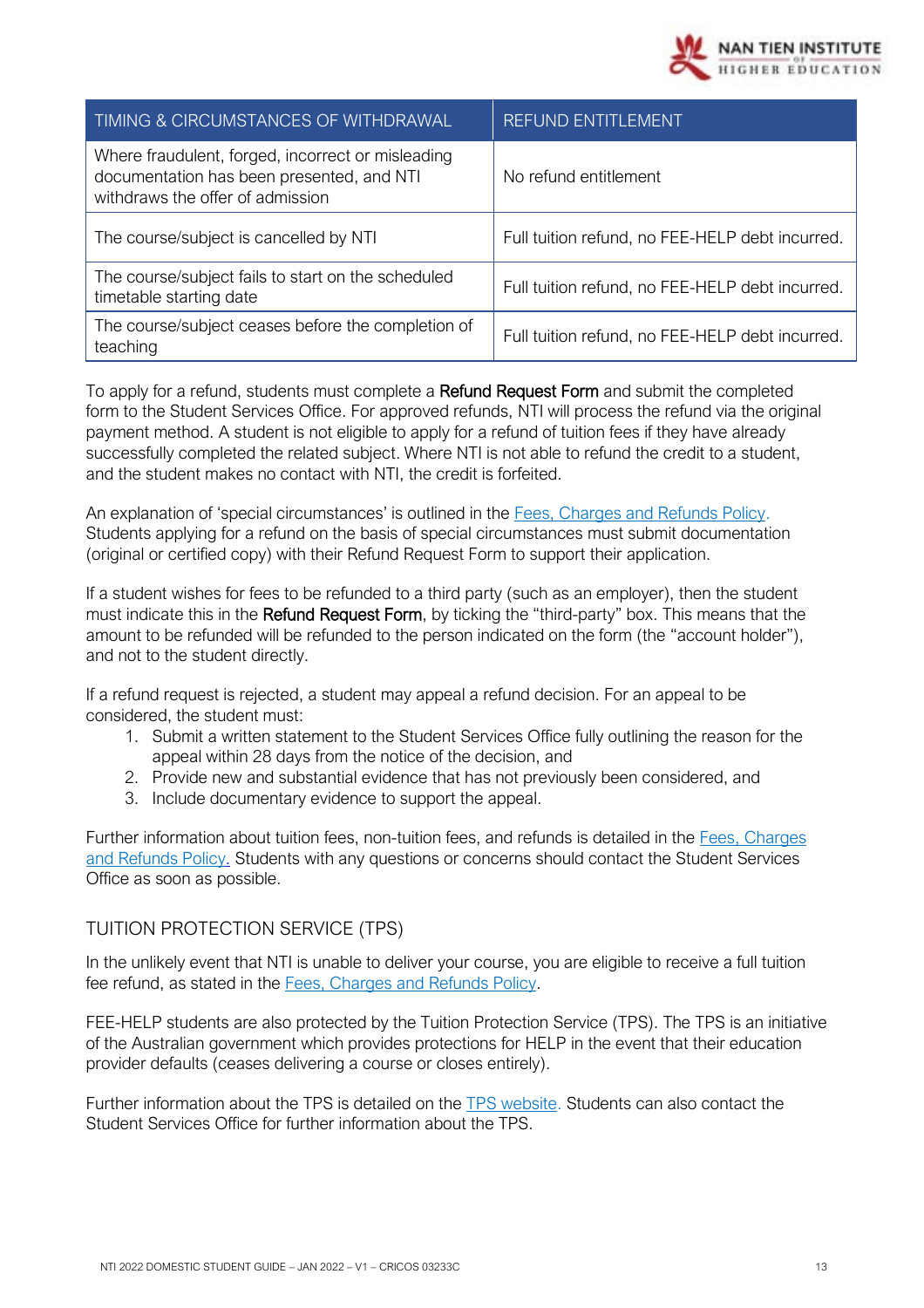

| TIMING & CIRCUMSTANCES OF WITHDRAWAL                                                                                               | <b>REFUND ENTITLEMENT</b>                       |
|------------------------------------------------------------------------------------------------------------------------------------|-------------------------------------------------|
| Where fraudulent, forged, incorrect or misleading<br>documentation has been presented, and NTI<br>withdraws the offer of admission | No refund entitlement                           |
| The course/subject is cancelled by NTI                                                                                             | Full tuition refund, no FEE-HELP debt incurred. |
| The course/subject fails to start on the scheduled<br>timetable starting date                                                      | Full tuition refund, no FEE-HELP debt incurred. |
| The course/subject ceases before the completion of<br>teaching                                                                     | Full tuition refund, no FEE-HELP debt incurred. |

To apply for a refund, students must complete a Refund Request Form and submit the completed form to the Student Services Office. For approved refunds, NTI will process the refund via the original payment method. A student is not eligible to apply for a refund of tuition fees if they have already successfully completed the related subject. Where NTI is not able to refund the credit to a student, and the student makes no contact with NTI, the credit is forfeited.

An explanation of 'special circumstances' is outlined in the [Fees, Charges and Refunds Policy.](https://policy.nantien.edu.au/student-services/fees-charges-and-refunds-policy) Students applying for a refund on the basis of special circumstances must submit documentation (original or certified copy) with their Refund Request Form to support their application.

If a student wishes for fees to be refunded to a third party (such as an employer), then the student must indicate this in the Refund Request Form, by ticking the "third-party" box. This means that the amount to be refunded will be refunded to the person indicated on the form (the "account holder"), and not to the student directly.

If a refund request is rejected, a student may appeal a refund decision. For an appeal to be considered, the student must:

- 1. Submit a written statement to the Student Services Office fully outlining the reason for the appeal within 28 days from the notice of the decision, and
- 2. Provide new and substantial evidence that has not previously been considered, and
- 3. Include documentary evidence to support the appeal.

Further information about tuition fees, non-tuition fees, and refunds is detailed in the Fees, Charges [and Refunds Policy.](https://policy.nantien.edu.au/student-services/fees-charges-and-refunds-policy) Students with any questions or concerns should contact the Student Services Office as soon as possible.

#### <span id="page-12-0"></span>TUITION PROTECTION SERVICE (TPS)

In the unlikely event that NTI is unable to deliver your course, you are eligible to receive a full tuition fee refund, as stated in the Fees, Charges [and Refunds Policy.](https://policy.nantien.edu.au/student-services/fees-charges-and-refunds-policy)

FEE-HELP students are also protected by the Tuition Protection Service (TPS). The TPS is an initiative of the Australian government which provides protections for HELP in the event that their education provider defaults (ceases delivering a course or closes entirely).

Further information about the TPS is detailed on the [TPS website.](https://tps.gov.au/Home/) Students can also contact the Student Services Office for further information about the TPS.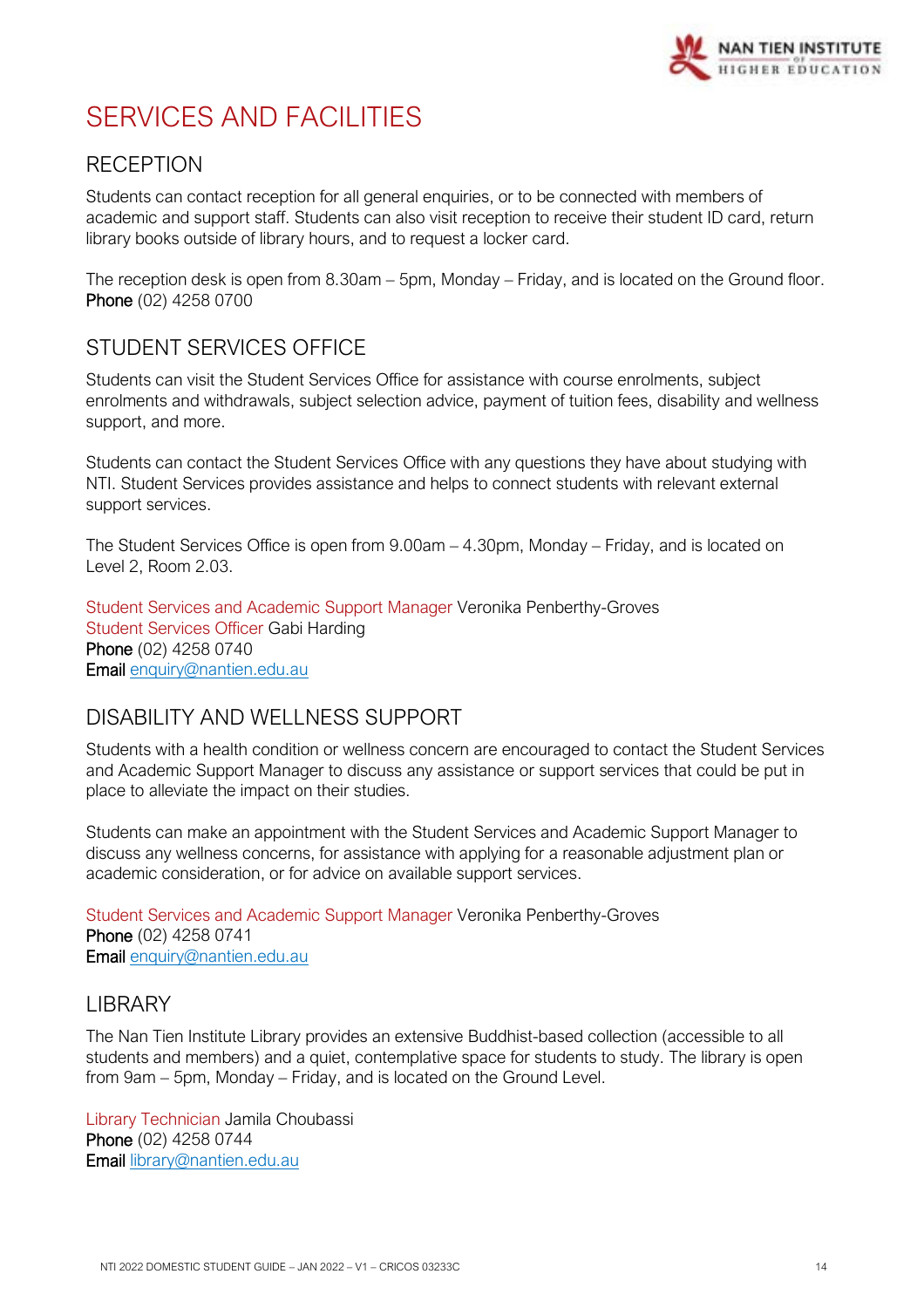

# <span id="page-13-0"></span>SERVICES AND FACILITIES

## <span id="page-13-1"></span>**RECEPTION**

Students can contact reception for all general enquiries, or to be connected with members of academic and support staff. Students can also visit reception to receive their student ID card, return library books outside of library hours, and to request a locker card.

The reception desk is open from 8.30am – 5pm, Monday – Friday, and is located on the Ground floor. Phone (02) 4258 0700

## <span id="page-13-2"></span>STUDENT SERVICES OFFICE

Students can visit the Student Services Office for assistance with course enrolments, subject enrolments and withdrawals, subject selection advice, payment of tuition fees, disability and wellness support, and more.

Students can contact the Student Services Office with any questions they have about studying with NTI. Student Services provides assistance and helps to connect students with relevant external support services.

The Student Services Office is open from 9.00am – 4.30pm, Monday – Friday, and is located on Level 2, Room 2.03.

Student Services and Academic Support Manager Veronika Penberthy-Groves Student Services Officer Gabi Harding Phone (02) 4258 0740 Email [enquiry@nantien.edu.au](mailto:enquiry@nantien.edu.au)

## <span id="page-13-3"></span>DISABILITY AND WELLNESS SUPPORT

Students with a health condition or wellness concern are encouraged to contact the Student Services and Academic Support Manager to discuss any assistance or support services that could be put in place to alleviate the impact on their studies.

Students can make an appointment with the Student Services and Academic Support Manager to discuss any wellness concerns, for assistance with applying for a reasonable adjustment plan or academic consideration, or for advice on available support services.

Student Services and Academic Support Manager Veronika Penberthy-Groves Phone (02) 4258 0741 Email [enquiry@nantien.edu.au](mailto:enquiry@nantien.edu.au)

### <span id="page-13-4"></span>LIBRARY

The Nan Tien Institute Library provides an extensive Buddhist-based collection (accessible to all students and members) and a quiet, contemplative space for students to study. The library is open from 9am – 5pm, Monday – Friday, and is located on the Ground Level.

Library Technician Jamila Choubassi Phone (02) 4258 0744 Email [library@nantien.edu.au](mailto:library@nantien.edu.au)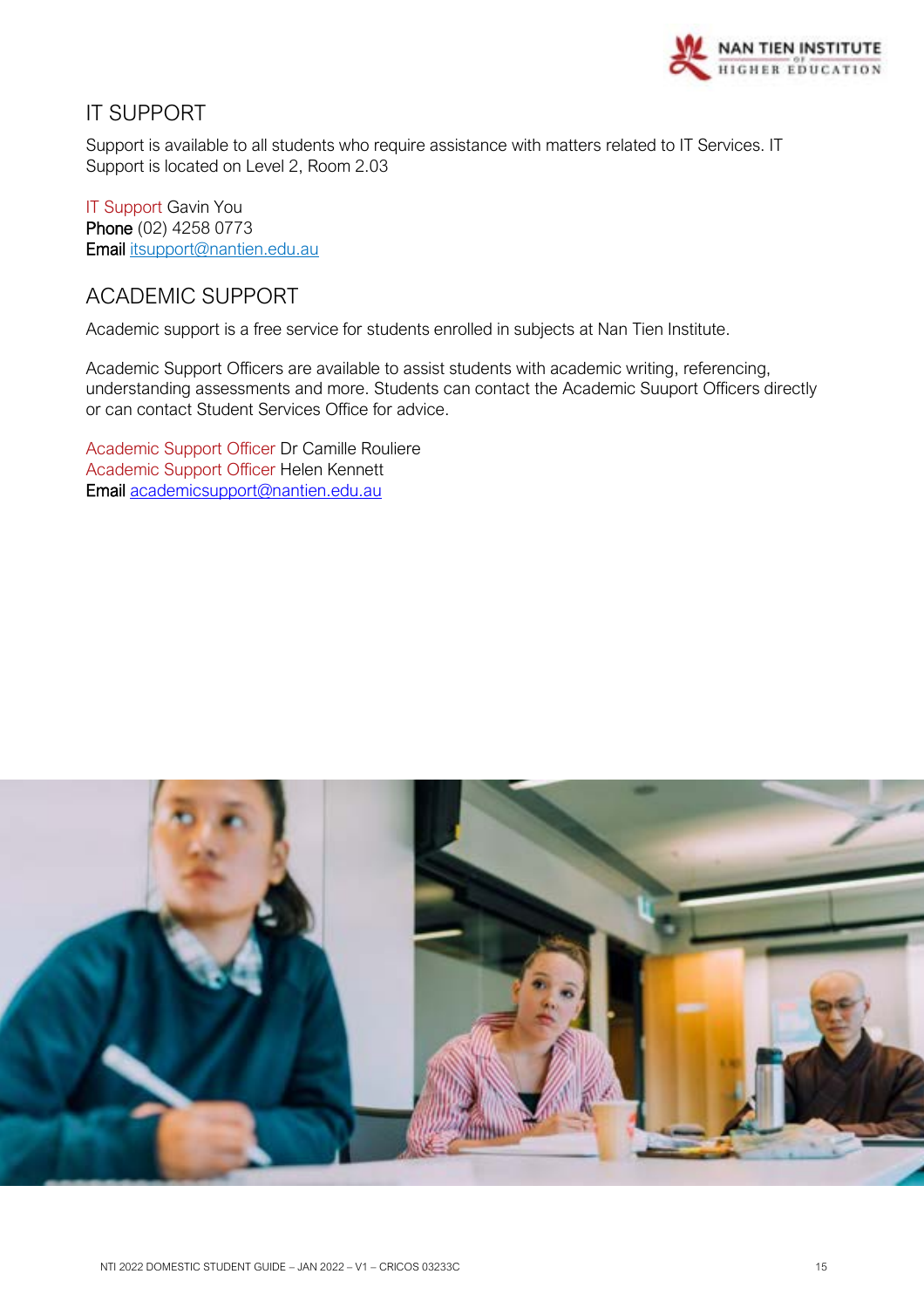

## <span id="page-14-0"></span>IT SUPPORT

Support is available to all students who require assistance with matters related to IT Services. IT Support is located on Level 2, Room 2.03

IT Support Gavin You Phone (02) 4258 0773 Email [itsupport@nantien.edu.au](mailto:itsupport@nantien.edu.au)

## <span id="page-14-1"></span>ACADEMIC SUPPORT

Academic support is a free service for students enrolled in subjects at Nan Tien Institute.

Academic Support Officers are available to assist students with academic writing, referencing, understanding assessments and more. Students can contact the Academic Suuport Officers directly or can contact Student Services Office for advice.

Academic Support Officer Dr Camille Rouliere Academic Support Officer Helen Kennett Email [academicsupport@nantien.edu.au](mailto:academicsupport@nantien.edu.au)

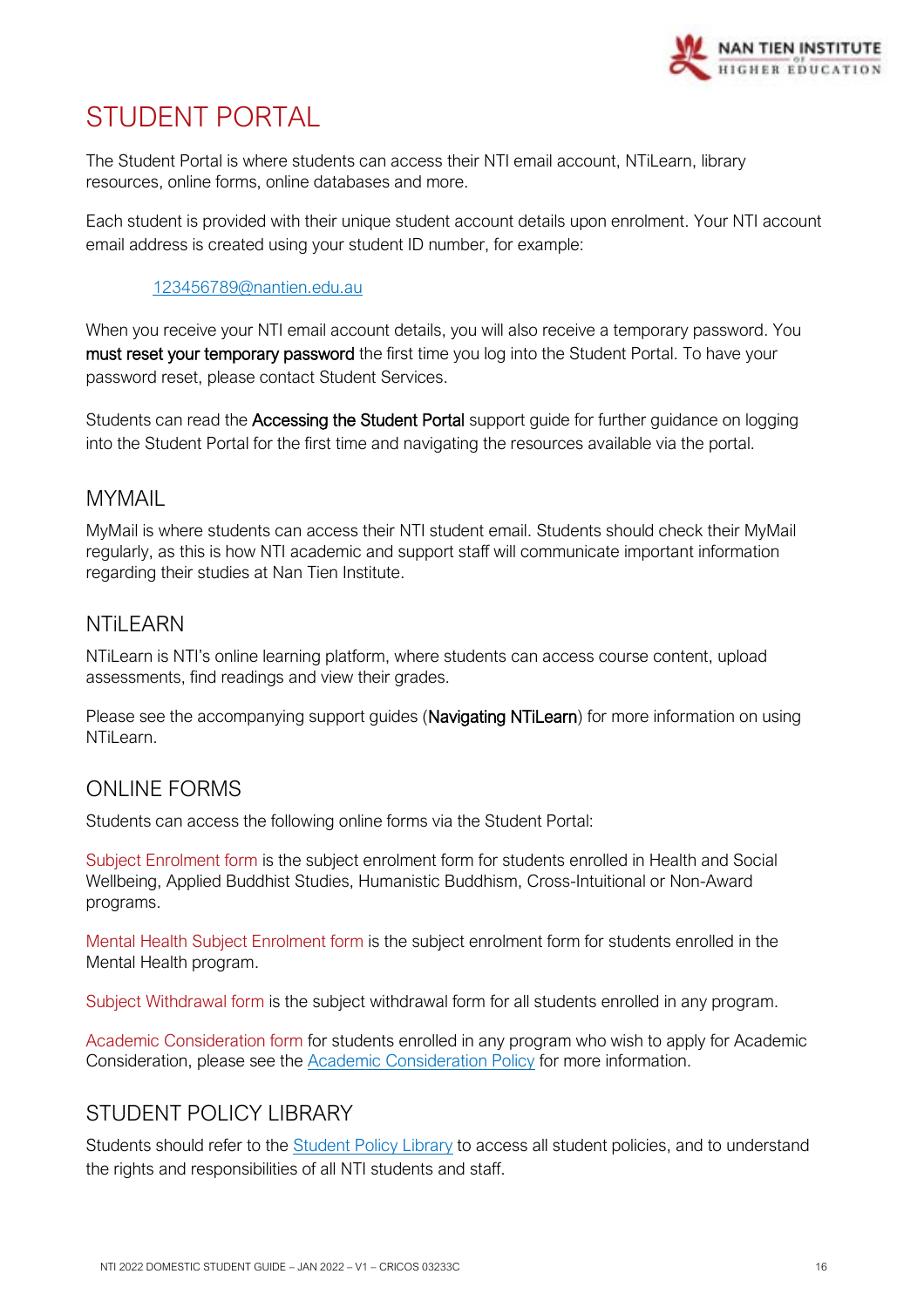

# <span id="page-15-0"></span>STUDENT PORTAL

The Student Portal is where students can access their NTI email account, NTiLearn, library resources, online forms, online databases and more.

Each student is provided with their unique student account details upon enrolment. Your NTI account email address is created using your student ID number, for example:

#### [123456789@nantien.edu.au](mailto:123456789@nantien.edu.au)

When you receive your NTI email account details, you will also receive a temporary password. You must reset your temporary password the first time you log into the Student Portal. To have your password reset, please contact Student Services.

Students can read the Accessing the Student Portal support guide for further guidance on logging into the Student Portal for the first time and navigating the resources available via the portal.

## <span id="page-15-1"></span>MYMAIL

MyMail is where students can access their NTI student email. Students should check their MyMail regularly, as this is how NTI academic and support staff will communicate important information regarding their studies at Nan Tien Institute.

## <span id="page-15-2"></span>**NTil FARN**

NTiLearn is NTI's online learning platform, where students can access course content, upload assessments, find readings and view their grades.

Please see the accompanying support guides (Navigating NTiLearn) for more information on using NTiLearn.

## <span id="page-15-3"></span>ONLINE FORMS

Students can access the following online forms via the Student Portal:

Subject Enrolment form is the subject enrolment form for students enrolled in Health and Social Wellbeing, Applied Buddhist Studies, Humanistic Buddhism, Cross-Intuitional or Non-Award programs.

Mental Health Subject Enrolment form is the subject enrolment form for students enrolled in the Mental Health program.

Subject Withdrawal form is the subject withdrawal form for all students enrolled in any program.

Academic Consideration form for students enrolled in any program who wish to apply for Academic Consideration, please see the **Academic Consideration Policy** for more information.

## <span id="page-15-4"></span>STUDENT POLICY LIBRARY

Students should refer to the **[Student Policy Library](https://policy.nantien.edu.au/student-services)** to access all student policies, and to understand the rights and responsibilities of all NTI students and staff.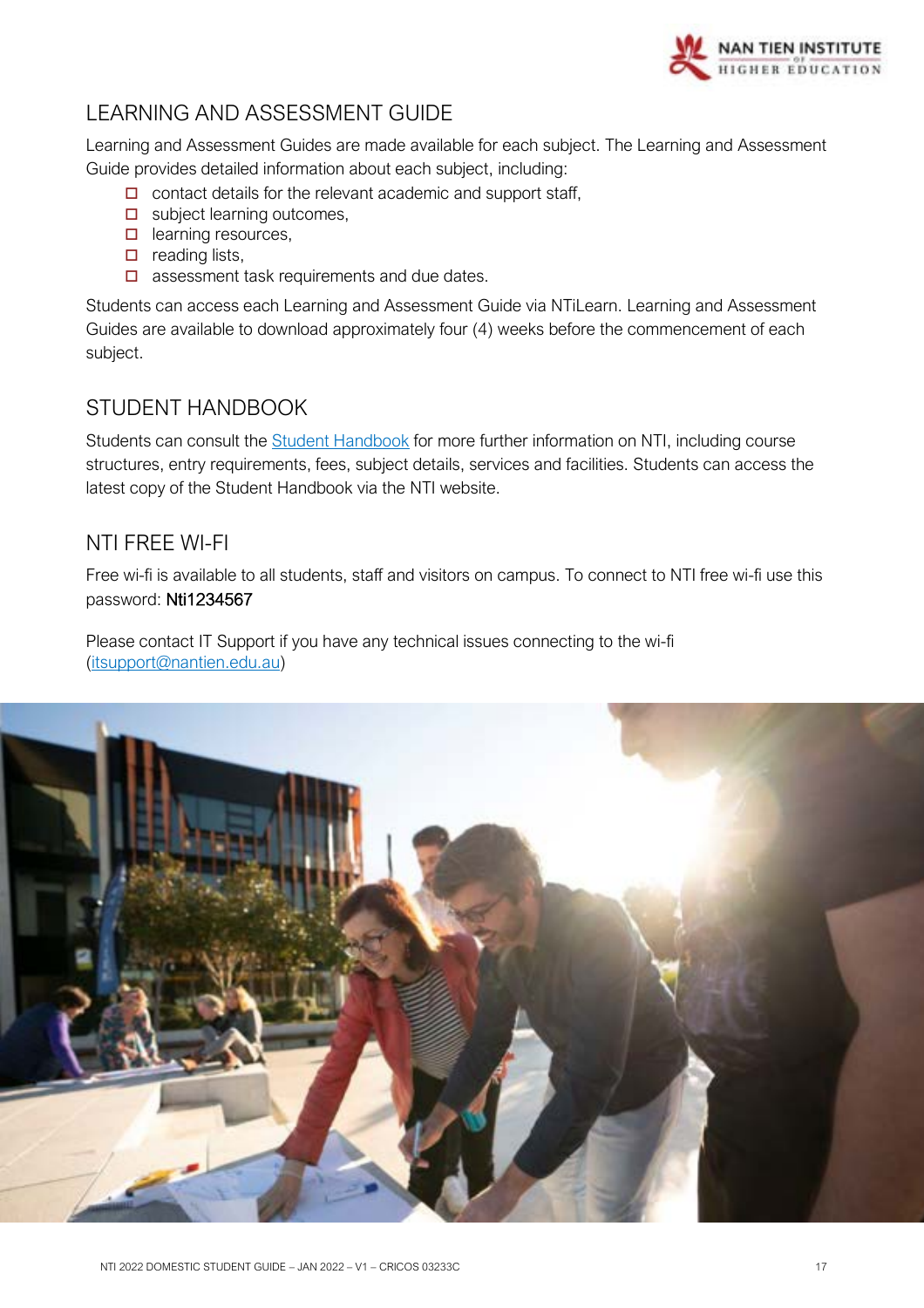

## <span id="page-16-0"></span>LEARNING AND ASSESSMENT GUIDE

Learning and Assessment Guides are made available for each subject. The Learning and Assessment Guide provides detailed information about each subject, including:

- $\Box$  contact details for the relevant academic and support staff,
- $\Box$  subject learning outcomes,
- $\Box$  learning resources,
- $\Box$  reading lists,
- $\Box$  assessment task requirements and due dates.

Students can access each Learning and Assessment Guide via NTiLearn. Learning and Assessment Guides are available to download approximately four (4) weeks before the commencement of each subject.

## <span id="page-16-1"></span>STUDENT HANDBOOK

Students can consult the **Student Handbook** for more further information on NTI, including course structures, entry requirements, fees, subject details, services and facilities. Students can access the latest copy of the Student Handbook via the NTI website.

## <span id="page-16-2"></span>NTI FREE WI-FI

Free wi-fi is available to all students, staff and visitors on campus. To connect to NTI free wi-fi use this password: Nti1234567

Please contact IT Support if you have any technical issues connecting to the wi-fi [\(itsupport@nantien.edu.au\)](mailto:itsupport@nantien.edu.au)

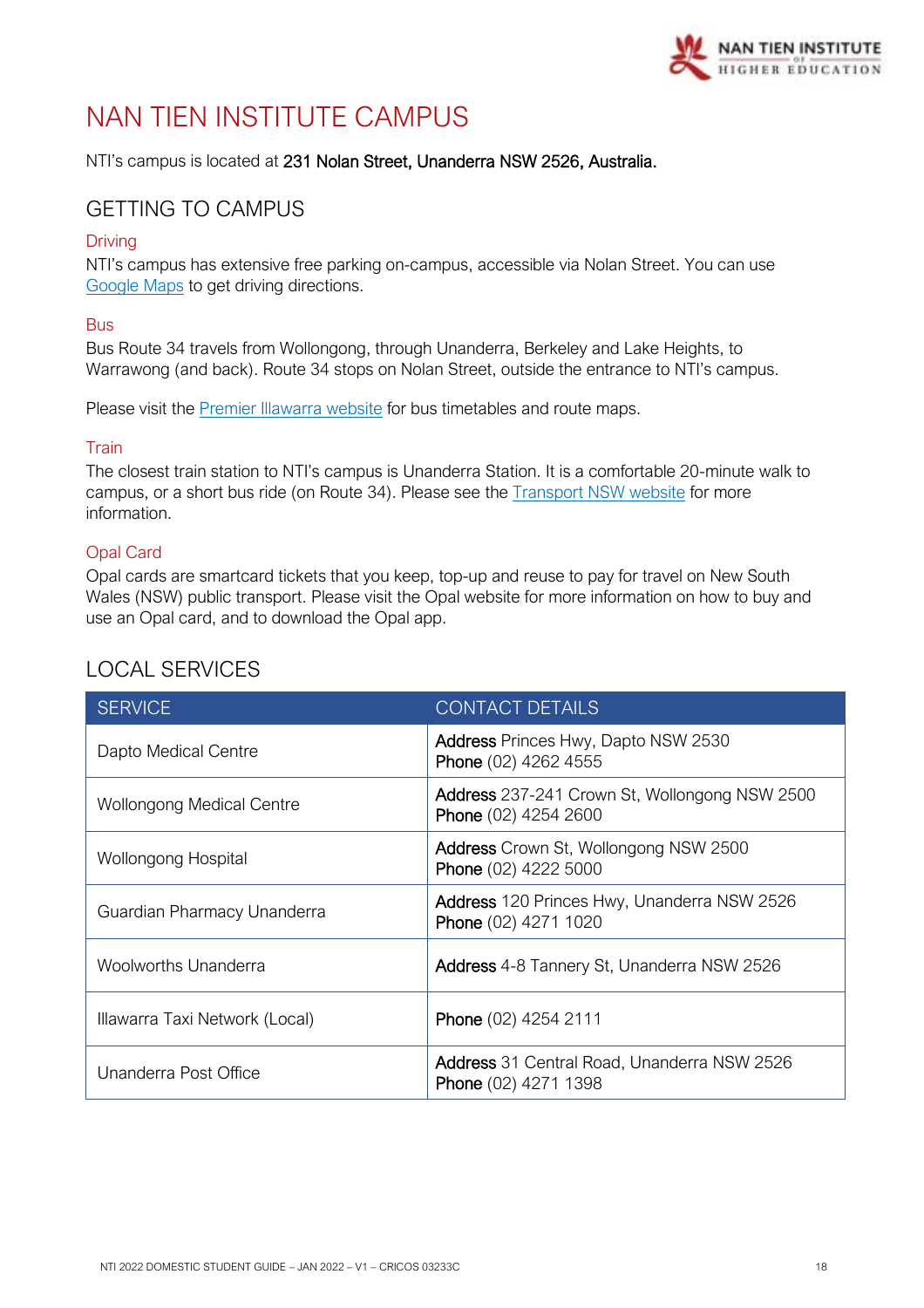

# <span id="page-17-0"></span>NAN TIEN INSTITUTE CAMPUS

NTI's campus is located at 231 Nolan Street, Unanderra NSW 2526, Australia.

## <span id="page-17-1"></span>GETTING TO CAMPUS

#### Driving

NTI's campus has extensive free parking on-campus, accessible via Nolan Street. You can use [Google Maps](https://www.google.com/maps/) to get driving directions.

#### Bus

Bus Route 34 travels from Wollongong, through Unanderra, Berkeley and Lake Heights, to Warrawong (and back). Route 34 stops on Nolan Street, outside the entrance to NTI's campus.

Please visit the [Premier Illawarra website](http://www.premierillawarra.com.au/index.html) for bus timetables and route maps.

#### **Train**

The closest train station to NTI's campus is Unanderra Station. It is a comfortable 20-minute walk to campus, or a short bus ride (on Route 34). Please see the [Transport NSW website](https://transportnsw.info/) for more information.

#### Opal Card

Opal cards are smartcard tickets that you keep, top-up and reuse to pay for travel on New South Wales (NSW) public transport. Please visit the [Opal website](https://www.opal.com.au/) for more information on how to buy and use an Opal card, and to download the Opal app.

| <b>SERVICE</b>                   | <b>CONTACT DETAILS</b>                                                     |
|----------------------------------|----------------------------------------------------------------------------|
| Dapto Medical Centre             | <b>Address Princes Hwy, Dapto NSW 2530</b><br>Phone (02) 4262 4555         |
| <b>Wollongong Medical Centre</b> | Address 237-241 Crown St, Wollongong NSW 2500<br>Phone (02) 4254 2600      |
| Wollongong Hospital              | <b>Address</b> Crown St, Wollongong NSW 2500<br>Phone (02) 4222 5000       |
| Guardian Pharmacy Unanderra      | Address 120 Princes Hwy, Unanderra NSW 2526<br>Phone (02) 4271 1020        |
| <b>Woolworths Unanderra</b>      | Address 4-8 Tannery St, Unanderra NSW 2526                                 |
| Illawarra Taxi Network (Local)   | Phone (02) 4254 2111                                                       |
| Unanderra Post Office            | <b>Address</b> 31 Central Road, Unanderra NSW 2526<br>Phone (02) 4271 1398 |

## <span id="page-17-2"></span>LOCAL SERVICES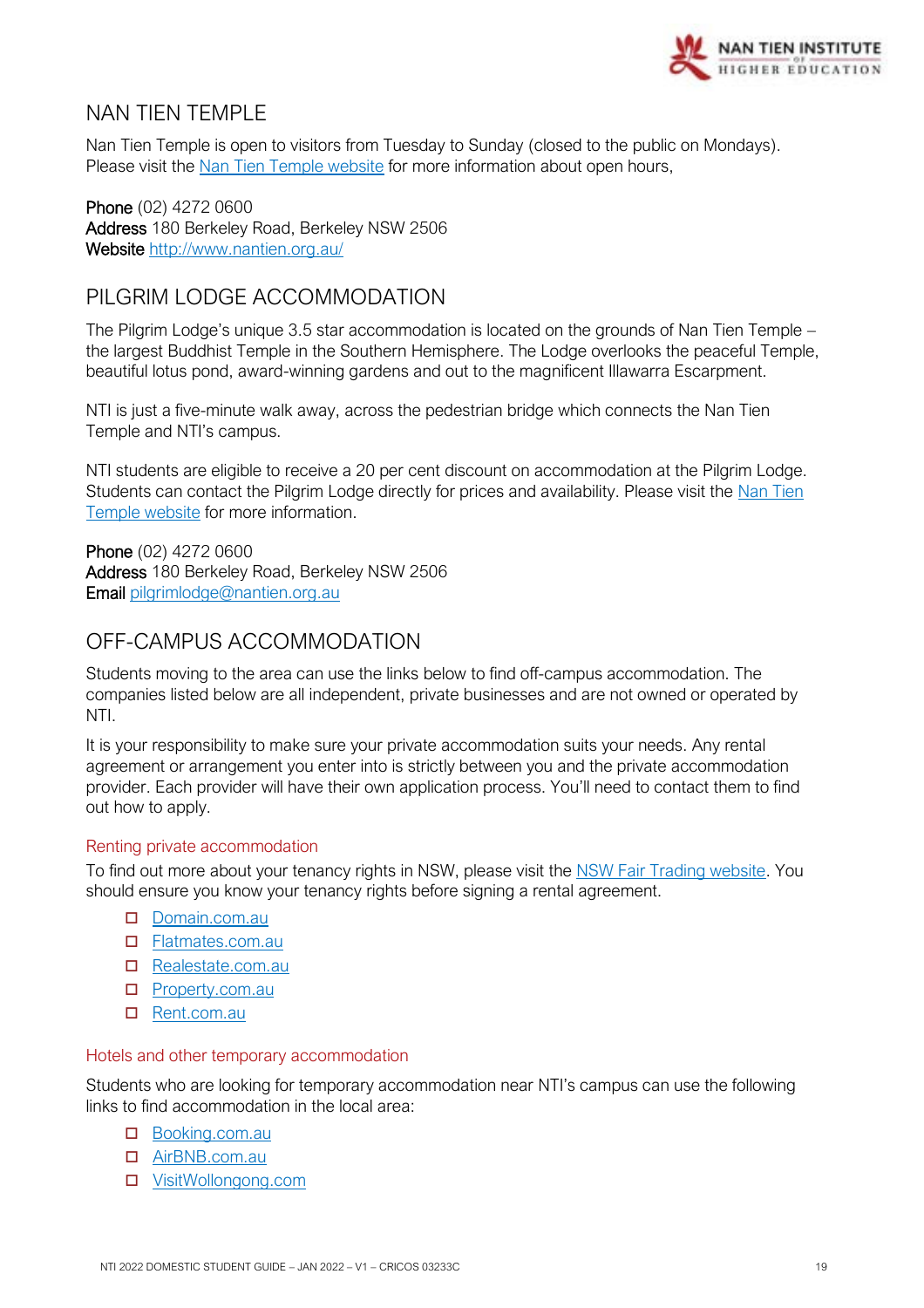

## <span id="page-18-0"></span>NAN TIFN TEMPI F

Nan Tien Temple is open to visitors from Tuesday to Sunday (closed to the public on Mondays). Please visit the [Nan Tien Temple website](https://www.nantien.org.au/) for more information about open hours,

Phone (02) 4272 0600 Address 180 Berkeley Road, Berkeley NSW 2506 Website<http://www.nantien.org.au/>

## <span id="page-18-1"></span>PILGRIM LODGE ACCOMMODATION

The Pilgrim Lodge's unique 3.5 star accommodation is located on the grounds of Nan Tien Temple – the largest Buddhist Temple in the Southern Hemisphere. The Lodge overlooks the peaceful Temple, beautiful lotus pond, award-winning gardens and out to the magnificent Illawarra Escarpment.

NTI is just a five-minute walk away, across the pedestrian bridge which connects the Nan Tien Temple and NTI's campus.

NTI students are eligible to receive a 20 per cent discount on accommodation at the Pilgrim Lodge. Students can contact the Pilgrim Lodge directly for prices and availability. Please visit the [Nan Tien](https://www.nantien.org.au/en/visitor-info/accommodation)  [Temple website](https://www.nantien.org.au/en/visitor-info/accommodation) for more information.

Phone (02) 4272 0600 Address 180 Berkeley Road, Berkeley NSW 2506 Email [pilgrimlodge@nantien.org.au](mailto:pilgrimlodge@nantien.org.au)

## <span id="page-18-2"></span>OFF-CAMPUS ACCOMMODATION

Students moving to the area can use the links below to find off-campus accommodation. The companies listed below are all independent, private businesses and are not owned or operated by NTI.

It is your responsibility to make sure your private accommodation suits your needs. Any rental agreement or arrangement you enter into is strictly between you and the private accommodation provider. Each provider will have their own application process. You'll need to contact them to find out how to apply.

#### Renting private accommodation

To find out more about your tenancy rights in NSW, please visit the [NSW Fair Trading website.](https://www.fairtrading.nsw.gov.au/housing-and-property/renting) You should ensure you know your tenancy rights before signing a rental agreement.

- D [Domain.com.au](https://www.domain.com.au/)
- □ [Flatmates.com.au](https://flatmates.com.au/wollongong)
- [Realestate.com.au](https://www.realestate.com.au/buy)
- □ [Property.com.au](https://www.realestate.com.au/buy)
- □ [Rent.com.au](https://www.rent.com.au/)

#### Hotels and other temporary accommodation

Students who are looking for temporary accommodation near NTI's campus can use the following links to find accommodation in the local area:

#### Booking.com.au

- [AirBNB.com.au](https://www.airbnb.com.au/)
- [VisitWollongong.com](https://www.visitwollongong.com.au/)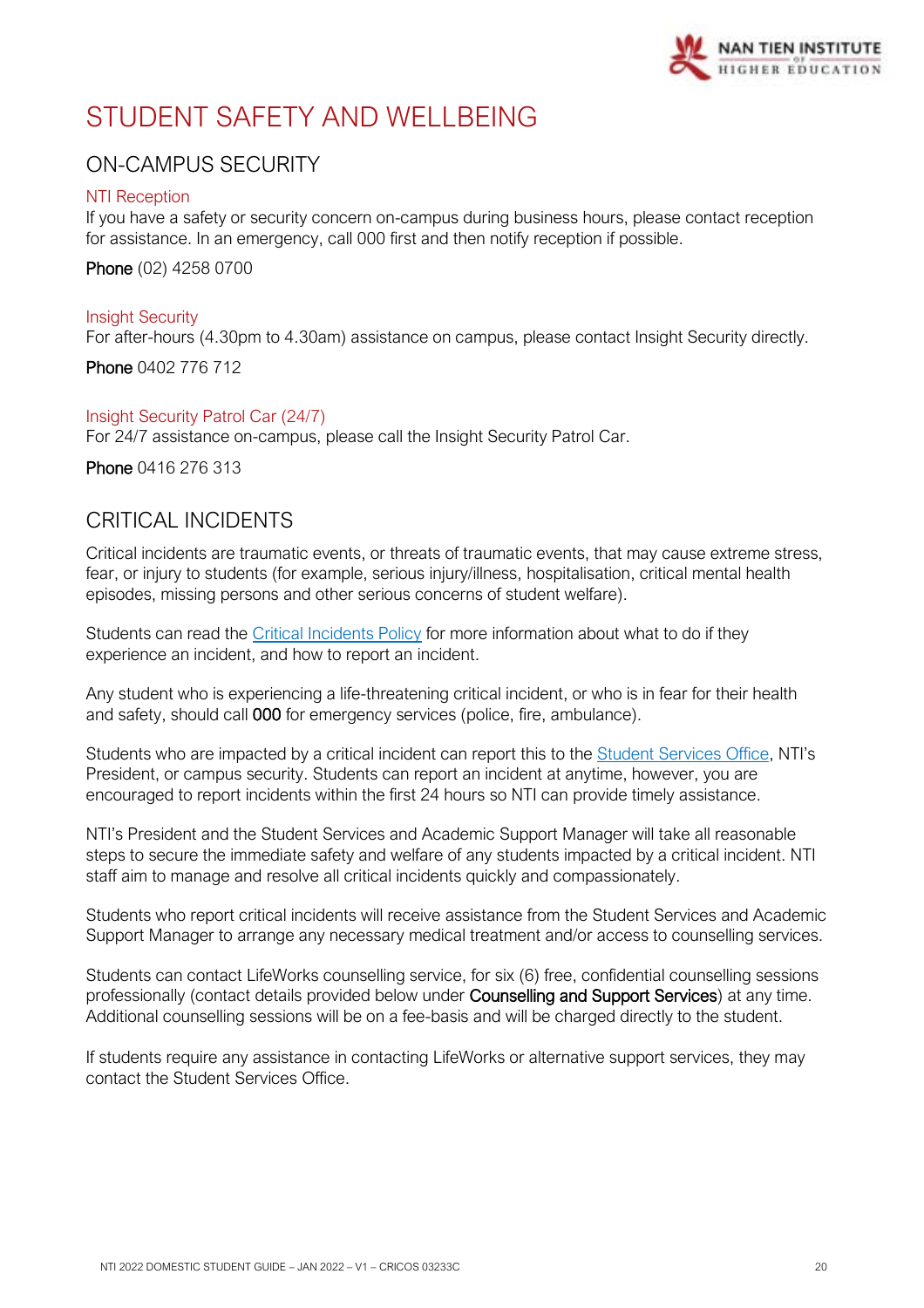

# <span id="page-19-0"></span>STUDENT SAFFTY AND WELLBEING

## <span id="page-19-1"></span>ON-CAMPUS SECURITY

#### NTI Reception

If you have a safety or security concern on-campus during business hours, please contact reception for assistance. In an emergency, call 000 first and then notify reception if possible.

#### Phone (02) 4258 0700

Insight Security For after-hours (4.30pm to 4.30am) assistance on campus, please contact Insight Security directly.

Phone 0402 776 712

#### Insight Security Patrol Car (24/7)

For 24/7 assistance on-campus, please call the Insight Security Patrol Car.

Phone 0416 276 313

## <span id="page-19-2"></span>CRITICAL INCIDENTS

Critical incidents are traumatic events, or threats of traumatic events, that may cause extreme stress, fear, or injury to students (for example, serious injury/illness, hospitalisation, critical mental health episodes, missing persons and other serious concerns of student welfare).

Students can read the [Critical Incidents Policy](https://policy.nantien.edu.au/student-services/student-critical-incident) for more information about what to do if they experience an incident, and how to report an incident.

Any student who is experiencing a life-threatening critical incident, or who is in fear for their health and safety, should call 000 for emergency services (police, fire, ambulance).

Students who are impacted by a critical incident can report this to the [Student Services Office](mailto:enquiry@nantien.edu.au), NTI's President, or campus security. Students can report an incident at anytime, however, you are encouraged to report incidents within the first 24 hours so NTI can provide timely assistance.

NTI's President and the Student Services and Academic Support Manager will take all reasonable steps to secure the immediate safety and welfare of any students impacted by a critical incident. NTI staff aim to manage and resolve all critical incidents quickly and compassionately.

Students who report critical incidents will receive assistance from the Student Services and Academic Support Manager to arrange any necessary medical treatment and/or access to counselling services.

Students can contact LifeWorks counselling service, for six (6) free, confidential counselling sessions professionally (contact details provided below under Counselling and Support Services) at any time. Additional counselling sessions will be on a fee-basis and will be charged directly to the student.

If students require any assistance in contacting LifeWorks or alternative support services, they may contact the Student Services Office.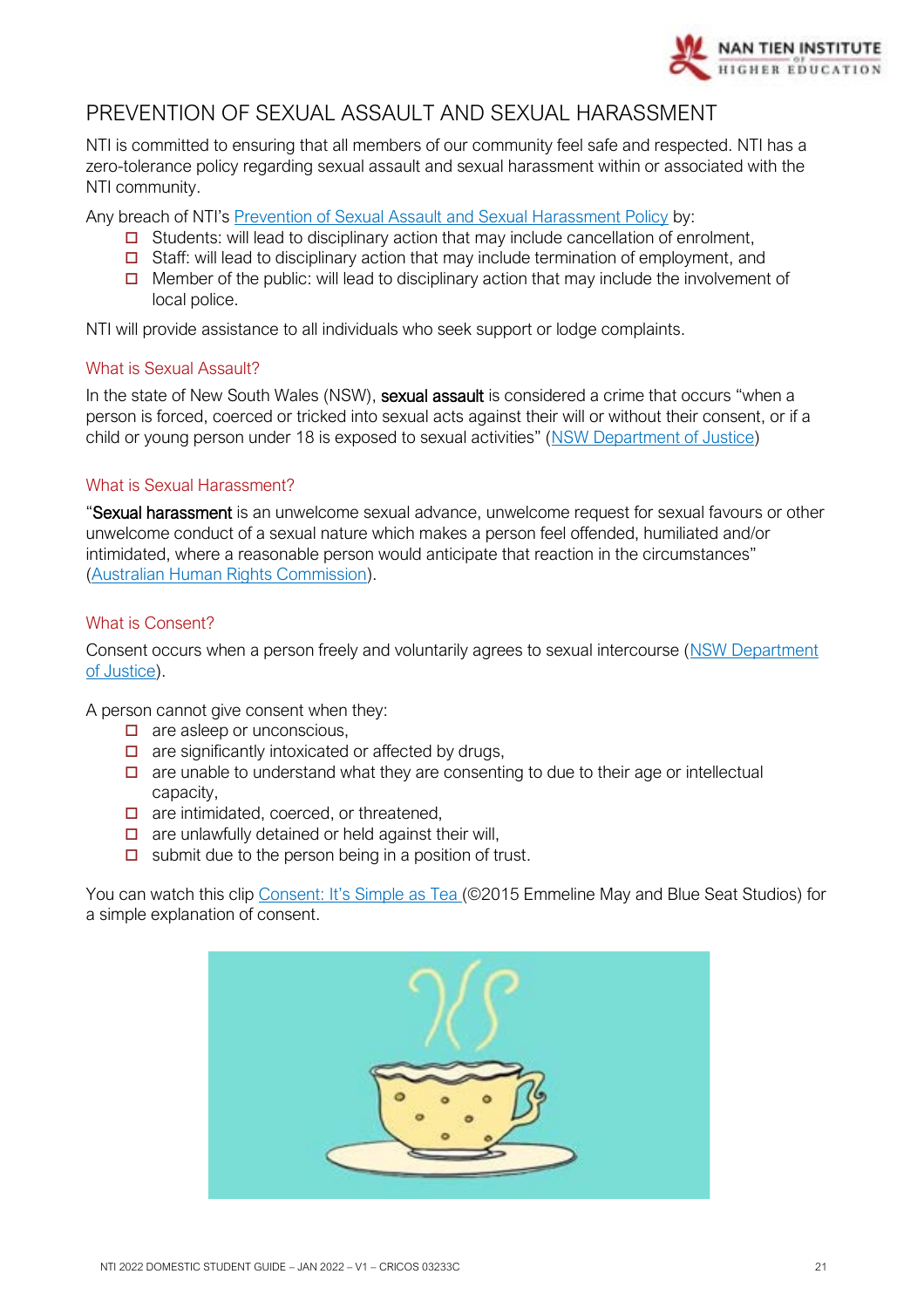

## <span id="page-20-0"></span>PREVENTION OF SEXUAL ASSAULT AND SEXUAL HARASSMENT

NTI is committed to ensuring that all members of our community feel safe and respected. NTI has a zero-tolerance policy regarding sexual assault and sexual harassment within or associated with the NTI community.

Any breach of NTI's [Prevention of Sexual Assault and Sexual Harassment Policy](https://policy.nantien.edu.au/student-services/prevention-sexual-assault-and-sexual-harassment-policy) by:

- $\Box$  Students: will lead to disciplinary action that may include cancellation of enrolment,
- $\Box$  Staff: will lead to disciplinary action that may include termination of employment, and
- $\Box$  Member of the public: will lead to disciplinary action that may include the involvement of local police.

NTI will provide assistance to all individuals who seek support or lodge complaints.

#### What is Sexual Assault?

In the state of New South Wales (NSW), sexual assault is considered a crime that occurs "when a person is forced, coerced or tricked into sexual acts against their will or without their consent, or if a child or young person under 18 is exposed to sexual activities" ([NSW Department of Justice\)](https://www.victimsservices.justice.nsw.gov.au/sexualassault/Pages/sexual_assault_victims.aspx#Consent)

#### What is Sexual Harassment?

"Sexual harassment is an unwelcome sexual advance, unwelcome request for sexual favours or other unwelcome conduct of a sexual nature which makes a person feel offended, humiliated and/or intimidated, where a reasonable person would anticipate that reaction in the circumstances" [\(Australian Human Rights Commission\)](https://www.humanrights.gov.au/quick-guide/12096).

#### What is Consent?

Consent occurs when a person freely and voluntarily agrees to sexual intercourse (NSW Department [of Justice\)](https://www.victimsservices.justice.nsw.gov.au/sexualassault/Pages/sexual_assault_victims.aspx#Consent).

A person cannot give consent when they:

- $\Box$  are asleep or unconscious,
- $\Box$  are significantly intoxicated or affected by drugs,
- $\Box$  are unable to understand what they are consenting to due to their age or intellectual capacity,
- $\Box$  are intimidated, coerced, or threatened,
- $\Box$  are unlawfully detained or held against their will,
- $\Box$  submit due to the person being in a position of trust.

You can watch this clip [Consent: It's Simple as Tea](https://www.youtube.com/watch?v=fGoWLWS4-kU) (©2015 Emmeline May and Blue Seat Studios) for a simple explanation of consent.

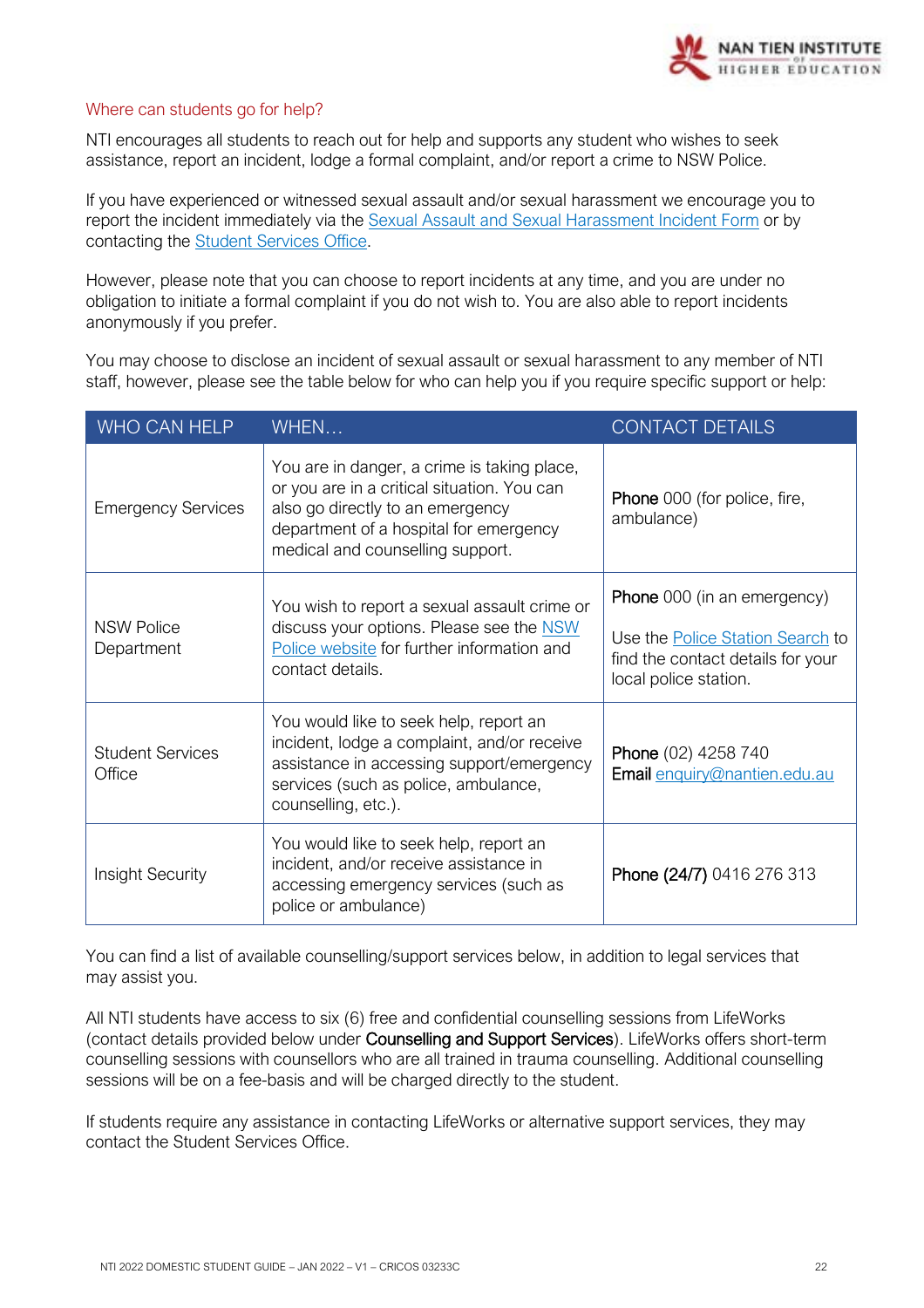#### Where can students go for help?

NTI encourages all students to reach out for help and supports any student who wishes to seek assistance, report an incident, lodge a formal complaint, and/or report a crime to NSW Police.

If you have experienced or witnessed sexual assault and/or sexual harassment we encourage you to report the incident immediately via the [Sexual Assault and Sexual Harassment Incident Form](https://www.nantien.edu.au/current-students/) or by contacting the [Student Services Office.](mailto:enquiry@nantien.edu.au)

However, please note that you can choose to report incidents at any time, and you are under no obligation to initiate a formal complaint if you do not wish to. You are also able to report incidents anonymously if you prefer.

You may choose to disclose an incident of sexual assault or sexual harassment to any member of NTI staff, however, please see the table below for who can help you if you require specific support or help:

| WHO CAN HELP                                                                                                                                                                                  | WHEN                                                                                                                                                                                                         | <b>CONTACT DETAILS</b>                                                                                |
|-----------------------------------------------------------------------------------------------------------------------------------------------------------------------------------------------|--------------------------------------------------------------------------------------------------------------------------------------------------------------------------------------------------------------|-------------------------------------------------------------------------------------------------------|
| <b>Emergency Services</b>                                                                                                                                                                     | You are in danger, a crime is taking place,<br>or you are in a critical situation. You can<br>also go directly to an emergency<br>department of a hospital for emergency<br>medical and counselling support. | Phone 000 (for police, fire,<br>ambulance)                                                            |
| You wish to report a sexual assault crime or<br><b>NSW Police</b><br>discuss your options. Please see the NSW<br>Police website for further information and<br>Department<br>contact details. |                                                                                                                                                                                                              | <b>Phone</b> 000 (in an emergency)                                                                    |
|                                                                                                                                                                                               |                                                                                                                                                                                                              | Use the <b>Police Station Search</b> to<br>find the contact details for your<br>local police station. |
| <b>Student Services</b><br>Office                                                                                                                                                             | You would like to seek help, report an<br>incident, lodge a complaint, and/or receive<br>assistance in accessing support/emergency<br>services (such as police, ambulance,<br>counselling, etc.).            | Phone (02) 4258 740<br>Email enquiry@nantien.edu.au                                                   |
| <b>Insight Security</b>                                                                                                                                                                       | You would like to seek help, report an<br>incident, and/or receive assistance in<br>accessing emergency services (such as<br>police or ambulance)                                                            | Phone (24/7) 0416 276 313                                                                             |

You can find a list of available counselling/support services below, in addition to legal services that may assist you.

All NTI students have access to six (6) free and confidential counselling sessions from LifeWorks (contact details provided below under Counselling and Support Services). LifeWorks offers short-term counselling sessions with counsellors who are all trained in trauma counselling. Additional counselling sessions will be on a fee-basis and will be charged directly to the student.

If students require any assistance in contacting LifeWorks or alternative support services, they may contact the Student Services Office.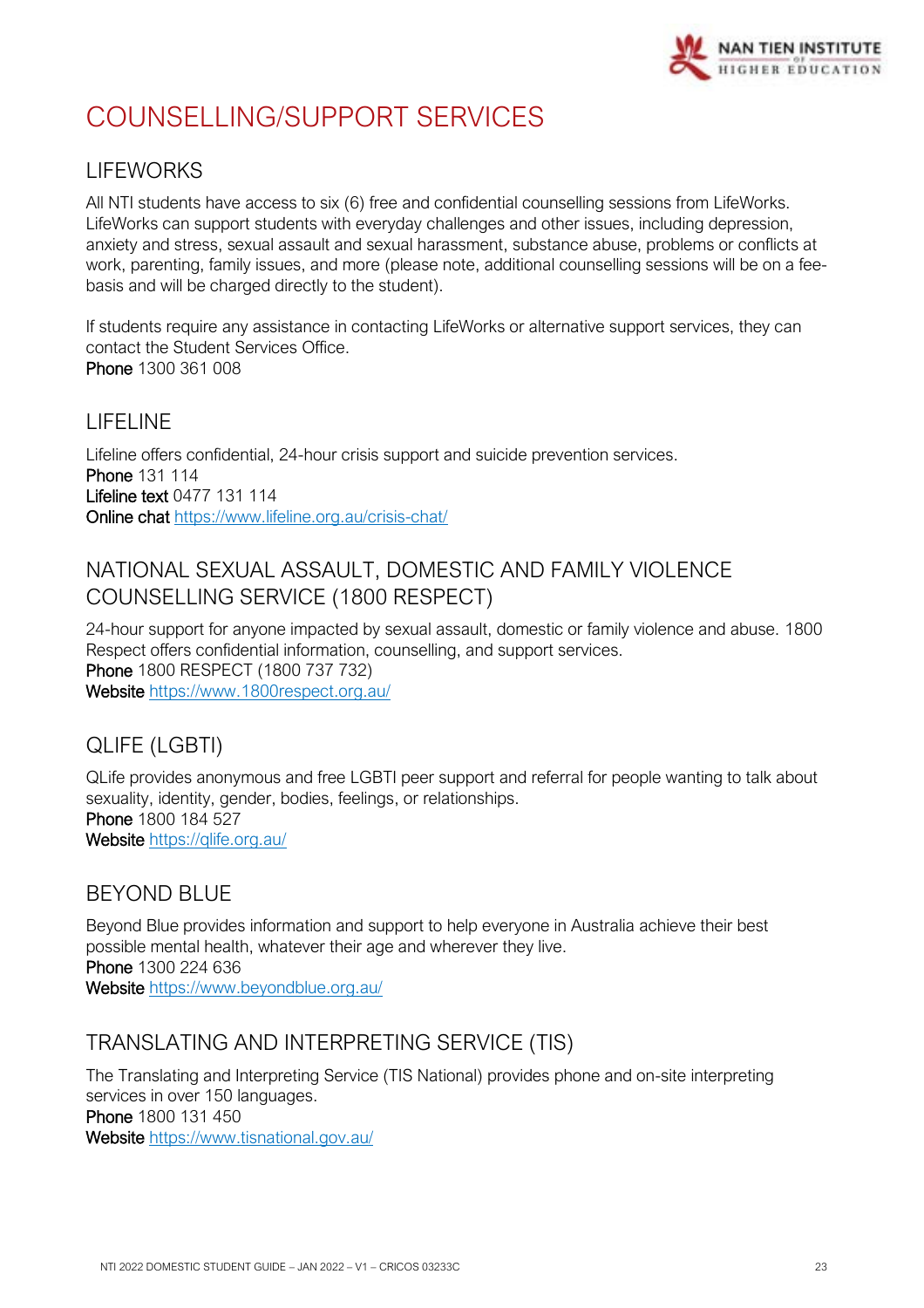

# <span id="page-22-0"></span>COUNSELLING/SUPPORT SERVICES

## LIFEWORKS

All NTI students have access to six (6) free and confidential counselling sessions from LifeWorks. LifeWorks can support students with everyday challenges and other issues, including depression, anxiety and stress, sexual assault and sexual harassment, substance abuse, problems or conflicts at work, parenting, family issues, and more (please note, additional counselling sessions will be on a feebasis and will be charged directly to the student).

If students require any assistance in contacting LifeWorks or alternative support services, they can contact the Student Services Office. Phone 1300 361 008

## LIFELINE

Lifeline offers confidential, 24-hour crisis support and suicide prevention services. Phone 131 114 Lifeline text 0477 131 114 Online chat<https://www.lifeline.org.au/crisis-chat/>

## NATIONAL SEXUAL ASSAULT, DOMESTIC AND FAMILY VIOLENCE COUNSELLING SERVICE (1800 RESPECT)

24-hour support for anyone impacted by sexual assault, domestic or family violence and abuse. 1800 Respect offers confidential information, counselling, and support services. Phone 1800 RESPECT (1800 737 732) Website<https://www.1800respect.org.au/>

## QLIFE (LGBTI)

QLife provides anonymous and free LGBTI peer support and referral for people wanting to talk about sexuality, identity, gender, bodies, feelings, or relationships. Phone 1800 184 527 Website <https://qlife.org.au/>

## BEYOND BLUE

Beyond Blue provides information and support to help everyone in Australia achieve their best possible mental health, whatever their age and wherever they live. Phone 1300 224 636 Website <https://www.beyondblue.org.au/>

## TRANSLATING AND INTERPRETING SERVICE (TIS)

The Translating and Interpreting Service (TIS National) provides phone and on-site interpreting services in over 150 languages. Phone 1800 131 450

Website <https://www.tisnational.gov.au/>